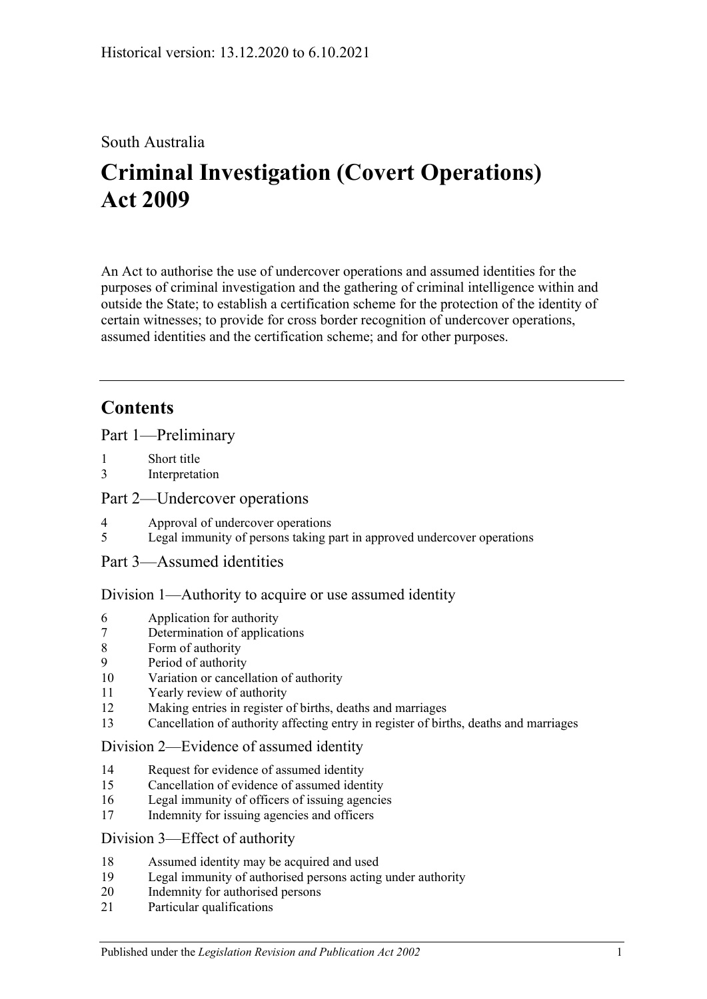## South Australia

# **Criminal Investigation (Covert Operations) Act 2009**

An Act to authorise the use of undercover operations and assumed identities for the purposes of criminal investigation and the gathering of criminal intelligence within and outside the State; to establish a certification scheme for the protection of the identity of certain witnesses; to provide for cross border recognition of undercover operations, assumed identities and the certification scheme; and for other purposes.

## **Contents**

[Part 1—Preliminary](#page-2-0)

- 1 [Short title](#page-2-1)
- 3 [Interpretation](#page-2-2)

#### [Part 2—Undercover operations](#page-6-0)

- 4 [Approval of undercover operations](#page-6-1)
- 5 [Legal immunity of persons taking part in approved undercover operations](#page-8-0)
- [Part 3—Assumed identities](#page-8-1)

#### [Division 1—Authority to acquire or use assumed identity](#page-8-2)

- 6 [Application for authority](#page-8-3)
- 7 [Determination of applications](#page-9-0)
- 8 [Form of authority](#page-9-1)
- 9 [Period of authority](#page-10-0)
- 10 [Variation or cancellation of authority](#page-10-1)
- 11 [Yearly review of authority](#page-11-0)
- 12 [Making entries in register of births, deaths and marriages](#page-11-1)
- 13 [Cancellation of authority affecting entry in register of births, deaths and marriages](#page-11-2)

#### [Division 2—Evidence of assumed identity](#page-12-0)

- 14 [Request for evidence of assumed identity](#page-12-1)
- 15 [Cancellation of evidence of assumed identity](#page-12-2)
- 16 [Legal immunity of officers of issuing agencies](#page-13-0)
- 17 [Indemnity for issuing agencies and officers](#page-13-1)

#### [Division 3—Effect of authority](#page-13-2)

- 18 [Assumed identity may be acquired and used](#page-13-3)
- 19 [Legal immunity of authorised persons acting under authority](#page-13-4)
- 20 [Indemnity for authorised persons](#page-14-0)
- 21 [Particular qualifications](#page-14-1)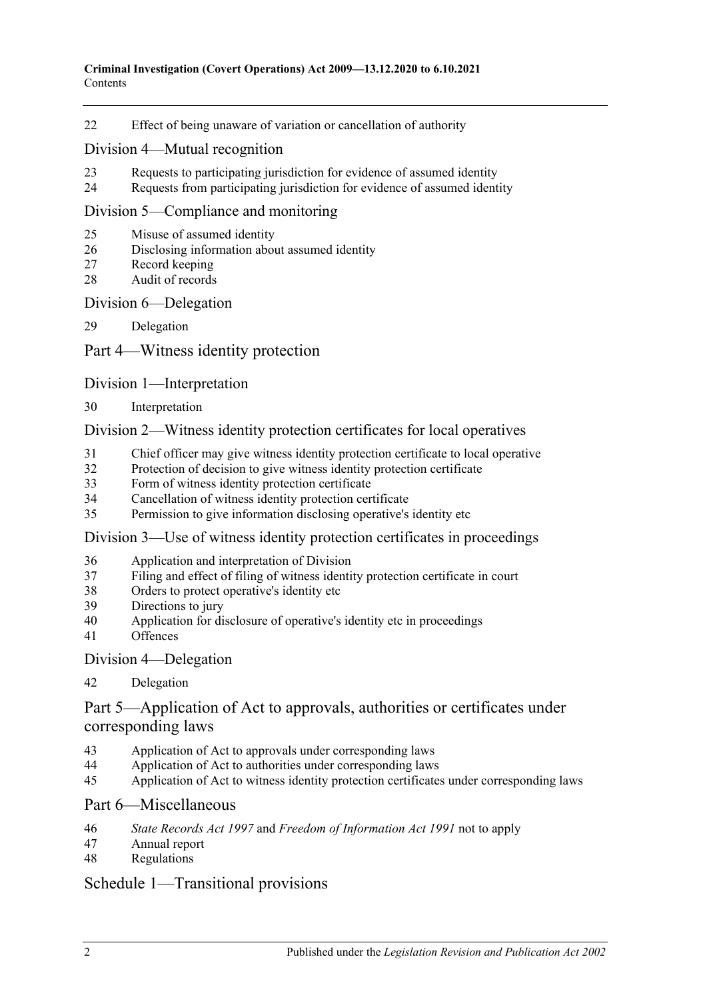[Effect of being unaware of variation or cancellation of authority](#page-14-2)

#### [Division 4—Mutual recognition](#page-14-3)

- [Requests to participating jurisdiction for evidence of assumed identity](#page-14-4)
- [Requests from participating jurisdiction for evidence of assumed identity](#page-15-0)

#### [Division 5—Compliance and monitoring](#page-15-1)

- [Misuse of assumed identity](#page-15-2)
- [Disclosing information about assumed identity](#page-16-0)
- [Record keeping](#page-16-1)
- [Audit of records](#page-17-0)

#### [Division 6—Delegation](#page-17-1)

[Delegation](#page-17-2)

#### [Part 4—Witness identity protection](#page-18-0)

#### [Division 1—Interpretation](#page-18-1)

[Interpretation](#page-18-2)

#### [Division 2—Witness identity protection certificates for local operatives](#page-19-0)

- [Chief officer may give witness identity protection certificate to local operative](#page-19-1)
- [Protection of decision to give witness identity protection certificate](#page-20-0)
- [Form of witness identity protection certificate](#page-20-1)
- [Cancellation of witness identity protection certificate](#page-21-0)
- [Permission to give information disclosing operative's identity etc](#page-21-1)

#### [Division 3—Use of witness identity protection certificates in proceedings](#page-21-2)

- [Application and interpretation of Division](#page-21-3)
- [Filing and effect of filing of witness identity protection certificate in court](#page-22-0)
- [Orders to protect operative's identity etc](#page-23-0)
- [Directions to jury](#page-23-1)
- [Application for disclosure of operative's identity etc in proceedings](#page-23-2)
- [Offences](#page-25-0)

#### [Division 4—Delegation](#page-25-1)

#### [Delegation](#page-25-2)

### [Part 5—Application of Act to approvals, authorities or certificates under](#page-26-0)  [corresponding laws](#page-26-0)

- [Application of Act to approvals under corresponding laws](#page-26-1)
- [Application of Act to authorities under corresponding laws](#page-26-2)
- [Application of Act to witness identity protection certificates under corresponding laws](#page-26-3)

#### [Part 6—Miscellaneous](#page-27-0)

- *State Records Act 1997* and *[Freedom of Information Act](#page-27-1) 1991* not to apply
- [Annual report](#page-27-2)
- [Regulations](#page-28-0)

#### [Schedule 1—Transitional provisions](#page-28-1)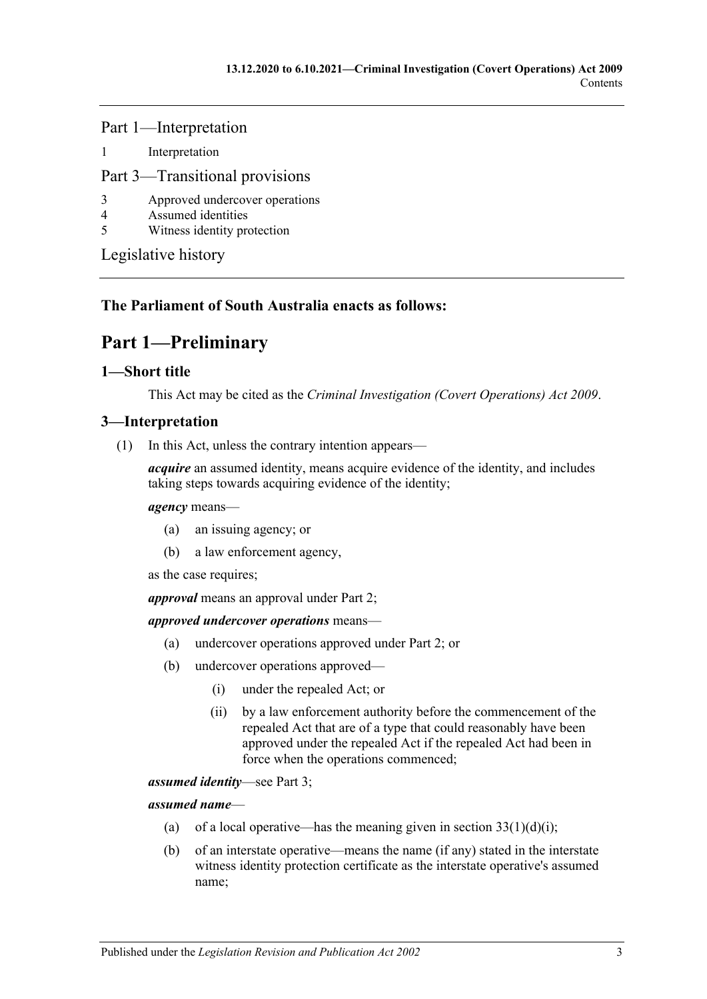Part 1—Interpretation

1 [Interpretation](#page-28-2)

#### Part 3—Transitional provisions

- 3 [Approved undercover operations](#page-29-0)
- 4 [Assumed identities](#page-29-1)
- 5 [Witness identity protection](#page-29-2)

[Legislative history](#page-30-0)

### <span id="page-2-0"></span>**The Parliament of South Australia enacts as follows:**

## **Part 1—Preliminary**

#### <span id="page-2-1"></span>**1—Short title**

This Act may be cited as the *Criminal Investigation (Covert Operations) Act 2009*.

#### <span id="page-2-2"></span>**3—Interpretation**

(1) In this Act, unless the contrary intention appears—

*acquire* an assumed identity, means acquire evidence of the identity, and includes taking steps towards acquiring evidence of the identity;

#### *agency* means—

- (a) an issuing agency; or
- (b) a law enforcement agency,

as the case requires;

*approval* means an approval under [Part 2;](#page-6-0)

#### *approved undercover operations* means—

- (a) undercover operations approved under [Part 2;](#page-6-0) or
- (b) undercover operations approved—
	- (i) under the repealed Act; or
	- (ii) by a law enforcement authority before the commencement of the repealed Act that are of a type that could reasonably have been approved under the repealed Act if the repealed Act had been in force when the operations commenced;

*assumed identity*—see [Part 3;](#page-8-1)

*assumed name*—

- (a) of a local operative—has the meaning given in section  $33(1)(d)(i)$ ;
- (b) of an interstate operative—means the name (if any) stated in the interstate witness identity protection certificate as the interstate operative's assumed name;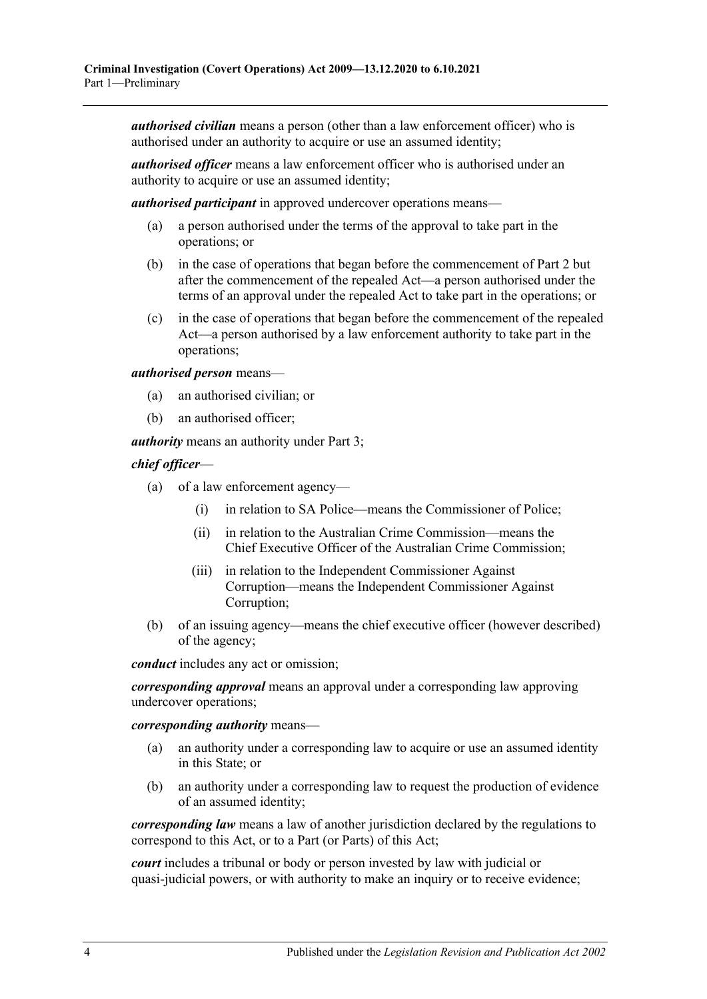*authorised civilian* means a person (other than a law enforcement officer) who is authorised under an authority to acquire or use an assumed identity;

*authorised officer* means a law enforcement officer who is authorised under an authority to acquire or use an assumed identity;

*authorised participant* in approved undercover operations means—

- (a) a person authorised under the terms of the approval to take part in the operations; or
- (b) in the case of operations that began before the commencement of [Part 2](#page-6-0) but after the commencement of the repealed Act—a person authorised under the terms of an approval under the repealed Act to take part in the operations; or
- (c) in the case of operations that began before the commencement of the repealed Act—a person authorised by a law enforcement authority to take part in the operations;

*authorised person* means—

- (a) an authorised civilian; or
- (b) an authorised officer;

*authority* means an authority under [Part 3;](#page-8-1)

*chief officer*—

- (a) of a law enforcement agency—
	- (i) in relation to SA Police—means the Commissioner of Police;
	- (ii) in relation to the Australian Crime Commission—means the Chief Executive Officer of the Australian Crime Commission;
	- (iii) in relation to the Independent Commissioner Against Corruption—means the Independent Commissioner Against Corruption;
- (b) of an issuing agency—means the chief executive officer (however described) of the agency;

*conduct* includes any act or omission;

*corresponding approval* means an approval under a corresponding law approving undercover operations;

*corresponding authority* means—

- (a) an authority under a corresponding law to acquire or use an assumed identity in this State; or
- (b) an authority under a corresponding law to request the production of evidence of an assumed identity;

*corresponding law* means a law of another jurisdiction declared by the regulations to correspond to this Act, or to a Part (or Parts) of this Act;

*court* includes a tribunal or body or person invested by law with judicial or quasi-judicial powers, or with authority to make an inquiry or to receive evidence;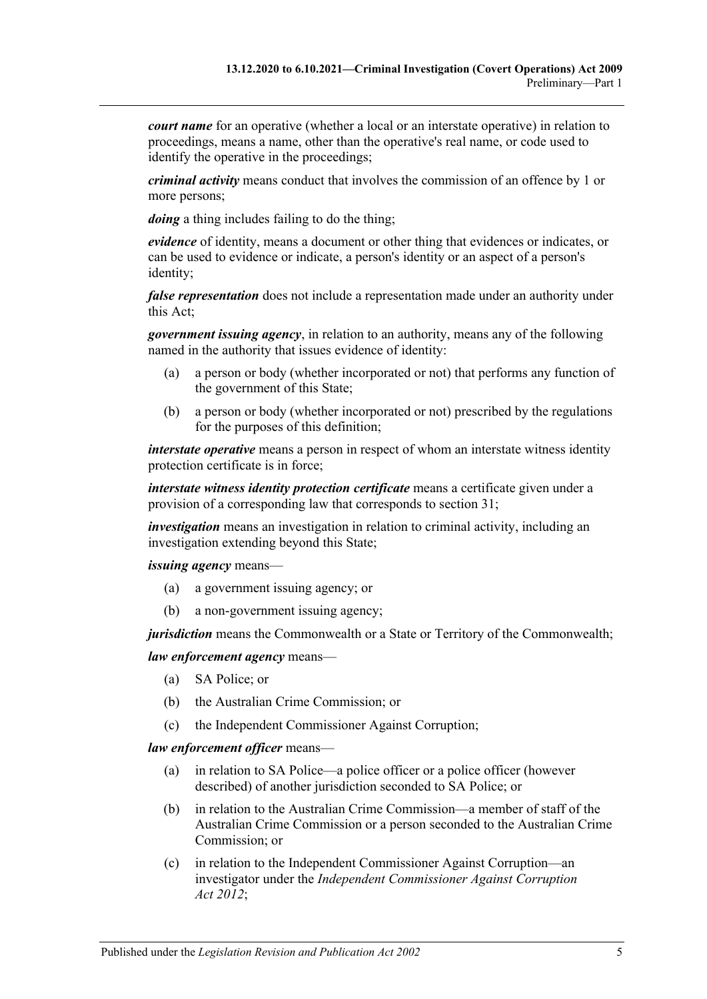*court name* for an operative (whether a local or an interstate operative) in relation to proceedings, means a name, other than the operative's real name, or code used to identify the operative in the proceedings;

*criminal activity* means conduct that involves the commission of an offence by 1 or more persons;

*doing* a thing includes failing to do the thing;

*evidence* of identity, means a document or other thing that evidences or indicates, or can be used to evidence or indicate, a person's identity or an aspect of a person's identity;

*false representation* does not include a representation made under an authority under this Act;

*government issuing agency*, in relation to an authority, means any of the following named in the authority that issues evidence of identity:

- (a) a person or body (whether incorporated or not) that performs any function of the government of this State;
- (b) a person or body (whether incorporated or not) prescribed by the regulations for the purposes of this definition;

*interstate operative* means a person in respect of whom an interstate witness identity protection certificate is in force;

*interstate witness identity protection certificate* means a certificate given under a provision of a corresponding law that corresponds to [section](#page-19-1) 31;

*investigation* means an investigation in relation to criminal activity, including an investigation extending beyond this State;

*issuing agency* means—

- (a) a government issuing agency; or
- (b) a non-government issuing agency;

*jurisdiction* means the Commonwealth or a State or Territory of the Commonwealth;

#### *law enforcement agency* means—

- (a) SA Police; or
- (b) the Australian Crime Commission; or
- (c) the Independent Commissioner Against Corruption;

*law enforcement officer* means—

- (a) in relation to SA Police—a police officer or a police officer (however described) of another jurisdiction seconded to SA Police; or
- (b) in relation to the Australian Crime Commission—a member of staff of the Australian Crime Commission or a person seconded to the Australian Crime Commission; or
- (c) in relation to the Independent Commissioner Against Corruption—an investigator under the *[Independent Commissioner Against Corruption](http://www.legislation.sa.gov.au/index.aspx?action=legref&type=act&legtitle=Independent%20Commissioner%20Against%20Corruption%20Act%202012)  Act [2012](http://www.legislation.sa.gov.au/index.aspx?action=legref&type=act&legtitle=Independent%20Commissioner%20Against%20Corruption%20Act%202012)*;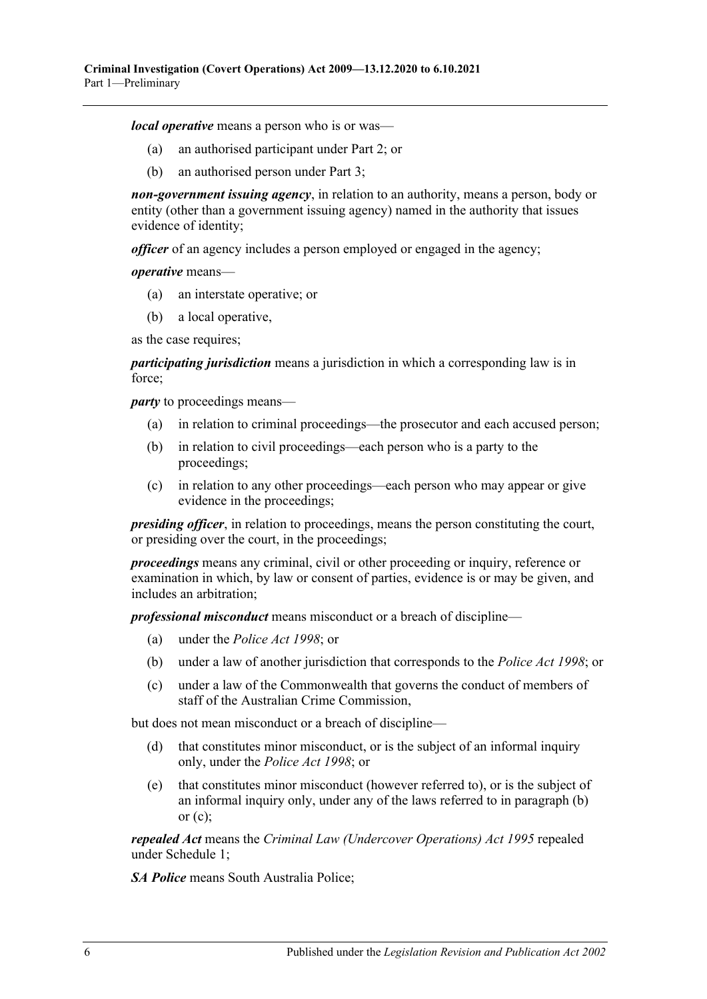*local operative* means a person who is or was—

- (a) an authorised participant under [Part 2;](#page-6-0) or
- (b) an authorised person under [Part 3;](#page-8-1)

*non-government issuing agency*, in relation to an authority, means a person, body or entity (other than a government issuing agency) named in the authority that issues evidence of identity;

*officer* of an agency includes a person employed or engaged in the agency;

*operative* means—

- (a) an interstate operative; or
- (b) a local operative,

as the case requires;

*participating jurisdiction* means a jurisdiction in which a corresponding law is in force;

<span id="page-5-0"></span>*party* to proceedings means—

- (a) in relation to criminal proceedings—the prosecutor and each accused person;
- (b) in relation to civil proceedings—each person who is a party to the proceedings;
- <span id="page-5-1"></span>(c) in relation to any other proceedings—each person who may appear or give evidence in the proceedings;

*presiding officer*, in relation to proceedings, means the person constituting the court, or presiding over the court, in the proceedings;

*proceedings* means any criminal, civil or other proceeding or inquiry, reference or examination in which, by law or consent of parties, evidence is or may be given, and includes an arbitration;

*professional misconduct* means misconduct or a breach of discipline—

- (a) under the *[Police Act](http://www.legislation.sa.gov.au/index.aspx?action=legref&type=act&legtitle=Police%20Act%201998) 1998*; or
- (b) under a law of another jurisdiction that corresponds to the *[Police Act](http://www.legislation.sa.gov.au/index.aspx?action=legref&type=act&legtitle=Police%20Act%201998) 1998*; or
- (c) under a law of the Commonwealth that governs the conduct of members of staff of the Australian Crime Commission,

but does not mean misconduct or a breach of discipline—

- (d) that constitutes minor misconduct, or is the subject of an informal inquiry only, under the *[Police Act](http://www.legislation.sa.gov.au/index.aspx?action=legref&type=act&legtitle=Police%20Act%201998) 1998*; or
- (e) that constitutes minor misconduct (however referred to), or is the subject of an informal inquiry only, under any of the laws referred to in [paragraph](#page-5-0) (b) or  $(c)$ :

*repealed Act* means the *[Criminal Law \(Undercover Operations\) Act](http://www.legislation.sa.gov.au/index.aspx?action=legref&type=act&legtitle=Criminal%20Law%20(Undercover%20Operations)%20Act%201995) 1995* repealed under [Schedule 1;](#page-28-1)

*SA Police* means South Australia Police;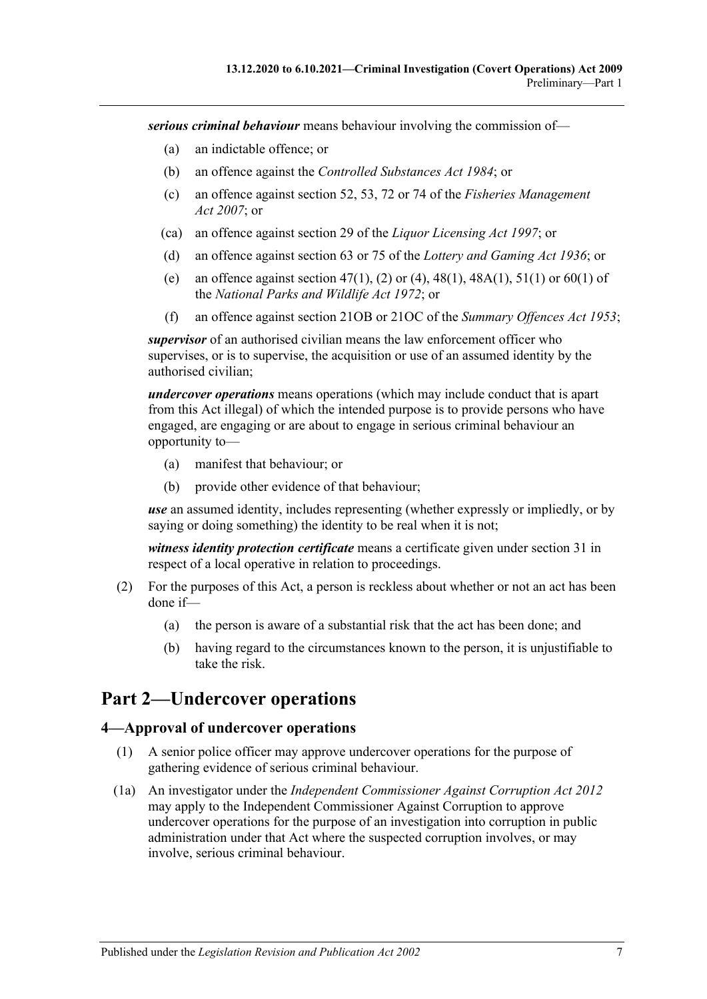*serious criminal behaviour* means behaviour involving the commission of—

- (a) an indictable offence; or
- (b) an offence against the *[Controlled Substances Act](http://www.legislation.sa.gov.au/index.aspx?action=legref&type=act&legtitle=Controlled%20Substances%20Act%201984) 1984*; or
- (c) an offence against section 52, 53, 72 or 74 of the *[Fisheries Management](http://www.legislation.sa.gov.au/index.aspx?action=legref&type=act&legtitle=Fisheries%20Management%20Act%202007)  Act [2007](http://www.legislation.sa.gov.au/index.aspx?action=legref&type=act&legtitle=Fisheries%20Management%20Act%202007)*; or
- (ca) an offence against section 29 of the *[Liquor Licensing Act](http://www.legislation.sa.gov.au/index.aspx?action=legref&type=act&legtitle=Liquor%20Licensing%20Act%201997) 1997*; or
- (d) an offence against section 63 or 75 of the *[Lottery and Gaming Act](http://www.legislation.sa.gov.au/index.aspx?action=legref&type=act&legtitle=Lottery%20and%20Gaming%20Act%201936) 1936*; or
- (e) an offence against section 47(1), (2) or (4), 48(1), 48A(1), 51(1) or 60(1) of the *[National Parks and Wildlife Act](http://www.legislation.sa.gov.au/index.aspx?action=legref&type=act&legtitle=National%20Parks%20and%20Wildlife%20Act%201972) 1972*; or
- (f) an offence against section 21OB or 21OC of the *[Summary Offences Act](http://www.legislation.sa.gov.au/index.aspx?action=legref&type=act&legtitle=Summary%20Offences%20Act%201953) 1953*;

*supervisor* of an authorised civilian means the law enforcement officer who supervises, or is to supervise, the acquisition or use of an assumed identity by the authorised civilian;

*undercover operations* means operations (which may include conduct that is apart from this Act illegal) of which the intended purpose is to provide persons who have engaged, are engaging or are about to engage in serious criminal behaviour an opportunity to—

- (a) manifest that behaviour; or
- (b) provide other evidence of that behaviour;

*use* an assumed identity, includes representing (whether expressly or impliedly, or by saying or doing something) the identity to be real when it is not;

*witness identity protection certificate* means a certificate given under [section](#page-19-1) 31 in respect of a local operative in relation to proceedings.

- (2) For the purposes of this Act, a person is reckless about whether or not an act has been done if—
	- (a) the person is aware of a substantial risk that the act has been done; and
	- (b) having regard to the circumstances known to the person, it is unjustifiable to take the risk.

## <span id="page-6-0"></span>**Part 2—Undercover operations**

#### <span id="page-6-1"></span>**4—Approval of undercover operations**

- (1) A senior police officer may approve undercover operations for the purpose of gathering evidence of serious criminal behaviour.
- (1a) An investigator under the *[Independent Commissioner Against Corruption Act](http://www.legislation.sa.gov.au/index.aspx?action=legref&type=act&legtitle=Independent%20Commissioner%20Against%20Corruption%20Act%202012) 2012* may apply to the Independent Commissioner Against Corruption to approve undercover operations for the purpose of an investigation into corruption in public administration under that Act where the suspected corruption involves, or may involve, serious criminal behaviour.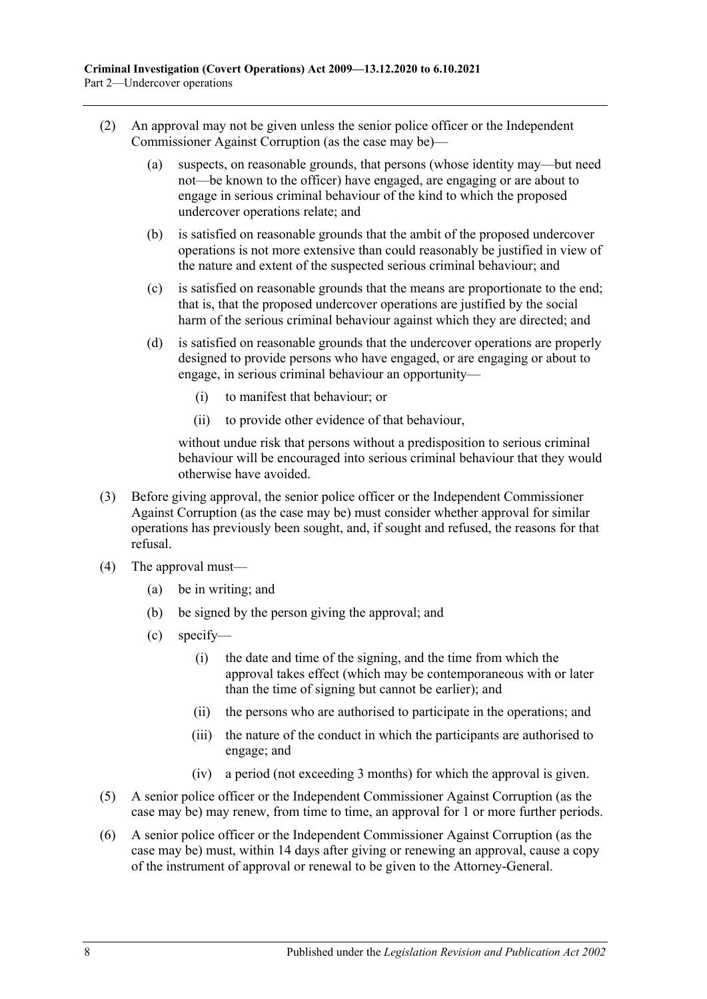- (2) An approval may not be given unless the senior police officer or the Independent Commissioner Against Corruption (as the case may be)—
	- (a) suspects, on reasonable grounds, that persons (whose identity may—but need not—be known to the officer) have engaged, are engaging or are about to engage in serious criminal behaviour of the kind to which the proposed undercover operations relate; and
	- (b) is satisfied on reasonable grounds that the ambit of the proposed undercover operations is not more extensive than could reasonably be justified in view of the nature and extent of the suspected serious criminal behaviour; and
	- (c) is satisfied on reasonable grounds that the means are proportionate to the end; that is, that the proposed undercover operations are justified by the social harm of the serious criminal behaviour against which they are directed; and
	- (d) is satisfied on reasonable grounds that the undercover operations are properly designed to provide persons who have engaged, or are engaging or about to engage, in serious criminal behaviour an opportunity—
		- (i) to manifest that behaviour; or
		- (ii) to provide other evidence of that behaviour,

without undue risk that persons without a predisposition to serious criminal behaviour will be encouraged into serious criminal behaviour that they would otherwise have avoided.

- (3) Before giving approval, the senior police officer or the Independent Commissioner Against Corruption (as the case may be) must consider whether approval for similar operations has previously been sought, and, if sought and refused, the reasons for that refusal.
- (4) The approval must—
	- (a) be in writing; and
	- (b) be signed by the person giving the approval; and
	- (c) specify—
		- (i) the date and time of the signing, and the time from which the approval takes effect (which may be contemporaneous with or later than the time of signing but cannot be earlier); and
		- (ii) the persons who are authorised to participate in the operations; and
		- (iii) the nature of the conduct in which the participants are authorised to engage; and
		- (iv) a period (not exceeding 3 months) for which the approval is given.
- (5) A senior police officer or the Independent Commissioner Against Corruption (as the case may be) may renew, from time to time, an approval for 1 or more further periods.
- (6) A senior police officer or the Independent Commissioner Against Corruption (as the case may be) must, within 14 days after giving or renewing an approval, cause a copy of the instrument of approval or renewal to be given to the Attorney-General.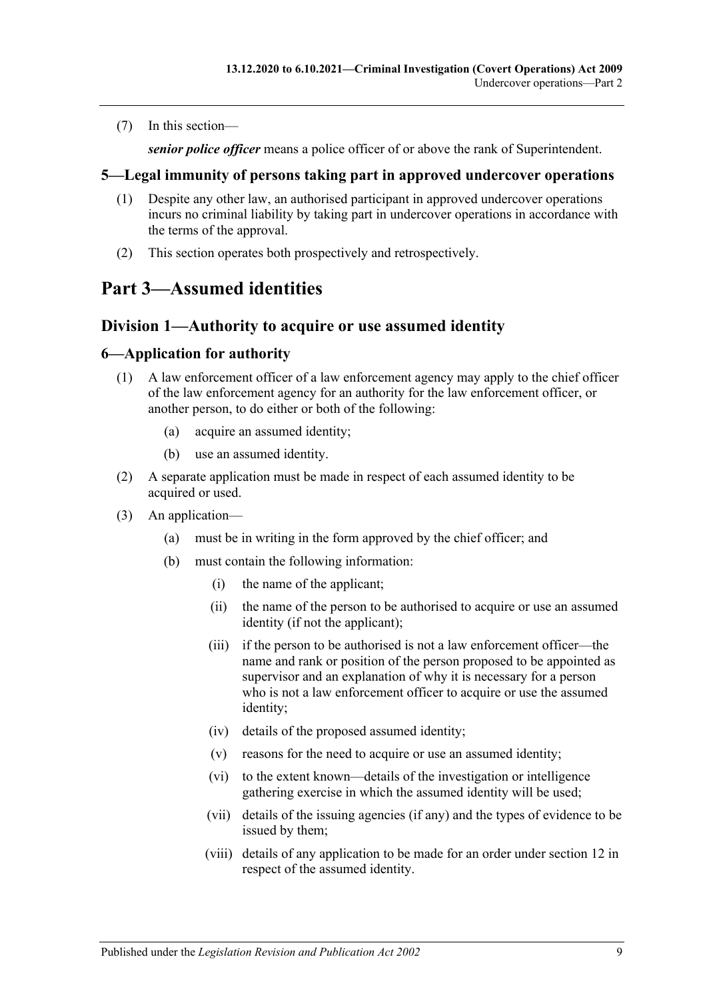(7) In this section—

*senior police officer* means a police officer of or above the rank of Superintendent.

#### <span id="page-8-0"></span>**5—Legal immunity of persons taking part in approved undercover operations**

- (1) Despite any other law, an authorised participant in approved undercover operations incurs no criminal liability by taking part in undercover operations in accordance with the terms of the approval.
- (2) This section operates both prospectively and retrospectively.

## <span id="page-8-1"></span>**Part 3—Assumed identities**

## <span id="page-8-2"></span>**Division 1—Authority to acquire or use assumed identity**

#### <span id="page-8-3"></span>**6—Application for authority**

- (1) A law enforcement officer of a law enforcement agency may apply to the chief officer of the law enforcement agency for an authority for the law enforcement officer, or another person, to do either or both of the following:
	- (a) acquire an assumed identity;
	- (b) use an assumed identity.
- (2) A separate application must be made in respect of each assumed identity to be acquired or used.
- (3) An application—
	- (a) must be in writing in the form approved by the chief officer; and
	- (b) must contain the following information:
		- (i) the name of the applicant;
		- (ii) the name of the person to be authorised to acquire or use an assumed identity (if not the applicant);
		- (iii) if the person to be authorised is not a law enforcement officer—the name and rank or position of the person proposed to be appointed as supervisor and an explanation of why it is necessary for a person who is not a law enforcement officer to acquire or use the assumed identity;
		- (iv) details of the proposed assumed identity;
		- (v) reasons for the need to acquire or use an assumed identity;
		- (vi) to the extent known—details of the investigation or intelligence gathering exercise in which the assumed identity will be used;
		- (vii) details of the issuing agencies (if any) and the types of evidence to be issued by them;
		- (viii) details of any application to be made for an order under [section](#page-11-1) 12 in respect of the assumed identity.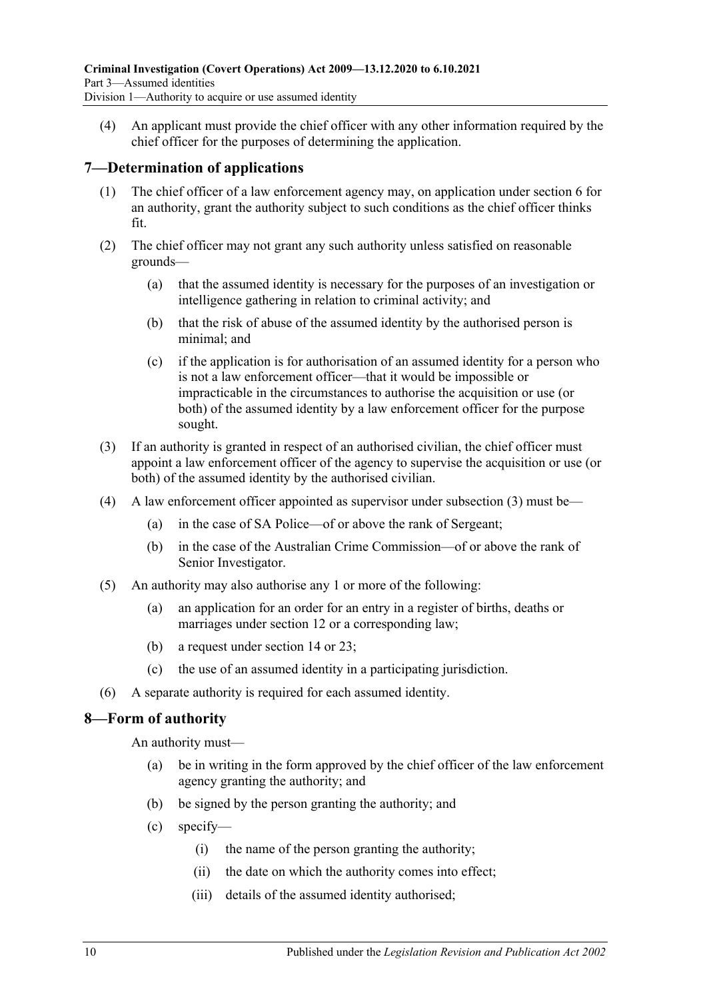(4) An applicant must provide the chief officer with any other information required by the chief officer for the purposes of determining the application.

#### <span id="page-9-0"></span>**7—Determination of applications**

- (1) The chief officer of a law enforcement agency may, on application under [section](#page-8-3) 6 for an authority, grant the authority subject to such conditions as the chief officer thinks fit.
- (2) The chief officer may not grant any such authority unless satisfied on reasonable grounds—
	- (a) that the assumed identity is necessary for the purposes of an investigation or intelligence gathering in relation to criminal activity; and
	- (b) that the risk of abuse of the assumed identity by the authorised person is minimal; and
	- (c) if the application is for authorisation of an assumed identity for a person who is not a law enforcement officer—that it would be impossible or impracticable in the circumstances to authorise the acquisition or use (or both) of the assumed identity by a law enforcement officer for the purpose sought.
- <span id="page-9-2"></span>(3) If an authority is granted in respect of an authorised civilian, the chief officer must appoint a law enforcement officer of the agency to supervise the acquisition or use (or both) of the assumed identity by the authorised civilian.
- (4) A law enforcement officer appointed as supervisor under [subsection](#page-9-2) (3) must be—
	- (a) in the case of SA Police—of or above the rank of Sergeant;
	- (b) in the case of the Australian Crime Commission—of or above the rank of Senior Investigator.
- (5) An authority may also authorise any 1 or more of the following:
	- (a) an application for an order for an entry in a register of births, deaths or marriages under [section](#page-11-1) 12 or a corresponding law;
	- (b) a request under [section](#page-12-1) 14 or [23;](#page-14-4)
	- (c) the use of an assumed identity in a participating jurisdiction.
- (6) A separate authority is required for each assumed identity.

#### <span id="page-9-1"></span>**8—Form of authority**

An authority must—

- (a) be in writing in the form approved by the chief officer of the law enforcement agency granting the authority; and
- (b) be signed by the person granting the authority; and
- (c) specify—
	- (i) the name of the person granting the authority;
	- (ii) the date on which the authority comes into effect;
	- (iii) details of the assumed identity authorised;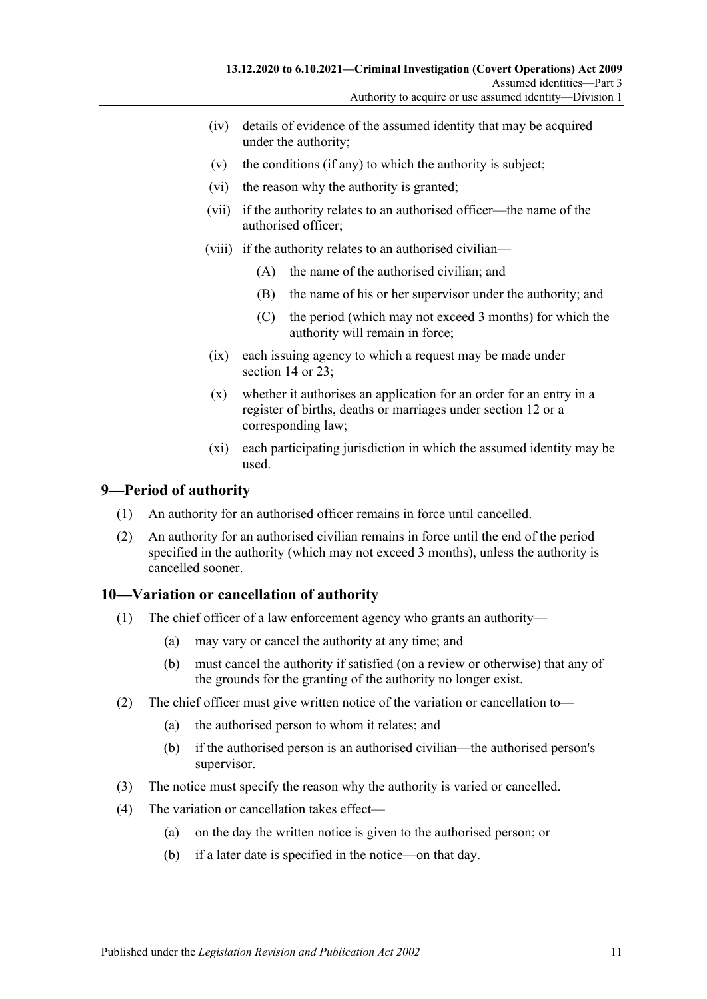- (iv) details of evidence of the assumed identity that may be acquired under the authority;
- (v) the conditions (if any) to which the authority is subject;
- (vi) the reason why the authority is granted;
- (vii) if the authority relates to an authorised officer—the name of the authorised officer;
- (viii) if the authority relates to an authorised civilian—
	- (A) the name of the authorised civilian; and
	- (B) the name of his or her supervisor under the authority; and
	- (C) the period (which may not exceed 3 months) for which the authority will remain in force;
- (ix) each issuing agency to which a request may be made under [section](#page-12-1) 14 or 23:
- (x) whether it authorises an application for an order for an entry in a register of births, deaths or marriages under [section](#page-11-1) 12 or a corresponding law;
- (xi) each participating jurisdiction in which the assumed identity may be used.

#### <span id="page-10-0"></span>**9—Period of authority**

- (1) An authority for an authorised officer remains in force until cancelled.
- (2) An authority for an authorised civilian remains in force until the end of the period specified in the authority (which may not exceed 3 months), unless the authority is cancelled sooner.

#### <span id="page-10-1"></span>**10—Variation or cancellation of authority**

- (1) The chief officer of a law enforcement agency who grants an authority—
	- (a) may vary or cancel the authority at any time; and
	- (b) must cancel the authority if satisfied (on a review or otherwise) that any of the grounds for the granting of the authority no longer exist.
- (2) The chief officer must give written notice of the variation or cancellation to—
	- (a) the authorised person to whom it relates; and
	- (b) if the authorised person is an authorised civilian—the authorised person's supervisor.
- (3) The notice must specify the reason why the authority is varied or cancelled.
- (4) The variation or cancellation takes effect—
	- (a) on the day the written notice is given to the authorised person; or
	- (b) if a later date is specified in the notice—on that day.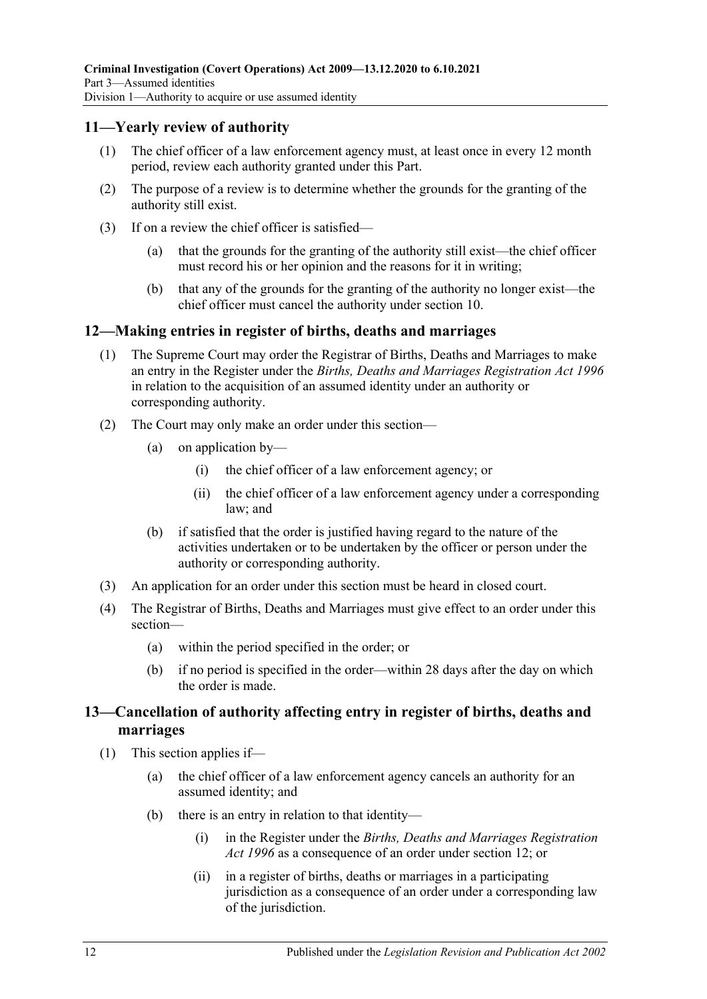#### <span id="page-11-0"></span>**11—Yearly review of authority**

- (1) The chief officer of a law enforcement agency must, at least once in every 12 month period, review each authority granted under this Part.
- (2) The purpose of a review is to determine whether the grounds for the granting of the authority still exist.
- (3) If on a review the chief officer is satisfied—
	- (a) that the grounds for the granting of the authority still exist—the chief officer must record his or her opinion and the reasons for it in writing;
	- (b) that any of the grounds for the granting of the authority no longer exist—the chief officer must cancel the authority under [section](#page-10-1) 10.

#### <span id="page-11-1"></span>**12—Making entries in register of births, deaths and marriages**

- (1) The Supreme Court may order the Registrar of Births, Deaths and Marriages to make an entry in the Register under the *[Births, Deaths and Marriages Registration Act](http://www.legislation.sa.gov.au/index.aspx?action=legref&type=act&legtitle=Births%20Deaths%20and%20Marriages%20Registration%20Act%201996) 1996* in relation to the acquisition of an assumed identity under an authority or corresponding authority.
- (2) The Court may only make an order under this section—
	- (a) on application by—
		- (i) the chief officer of a law enforcement agency; or
		- (ii) the chief officer of a law enforcement agency under a corresponding law; and
	- (b) if satisfied that the order is justified having regard to the nature of the activities undertaken or to be undertaken by the officer or person under the authority or corresponding authority.
- (3) An application for an order under this section must be heard in closed court.
- (4) The Registrar of Births, Deaths and Marriages must give effect to an order under this section—
	- (a) within the period specified in the order; or
	- (b) if no period is specified in the order—within 28 days after the day on which the order is made.

### <span id="page-11-2"></span>**13—Cancellation of authority affecting entry in register of births, deaths and marriages**

- <span id="page-11-4"></span><span id="page-11-3"></span>(1) This section applies if—
	- (a) the chief officer of a law enforcement agency cancels an authority for an assumed identity; and
	- (b) there is an entry in relation to that identity—
		- (i) in the Register under the *[Births, Deaths and Marriages Registration](http://www.legislation.sa.gov.au/index.aspx?action=legref&type=act&legtitle=Births%20Deaths%20and%20Marriages%20Registration%20Act%201996)  Act [1996](http://www.legislation.sa.gov.au/index.aspx?action=legref&type=act&legtitle=Births%20Deaths%20and%20Marriages%20Registration%20Act%201996)* as a consequence of an order under [section](#page-11-1) 12; or
		- (ii) in a register of births, deaths or marriages in a participating jurisdiction as a consequence of an order under a corresponding law of the jurisdiction.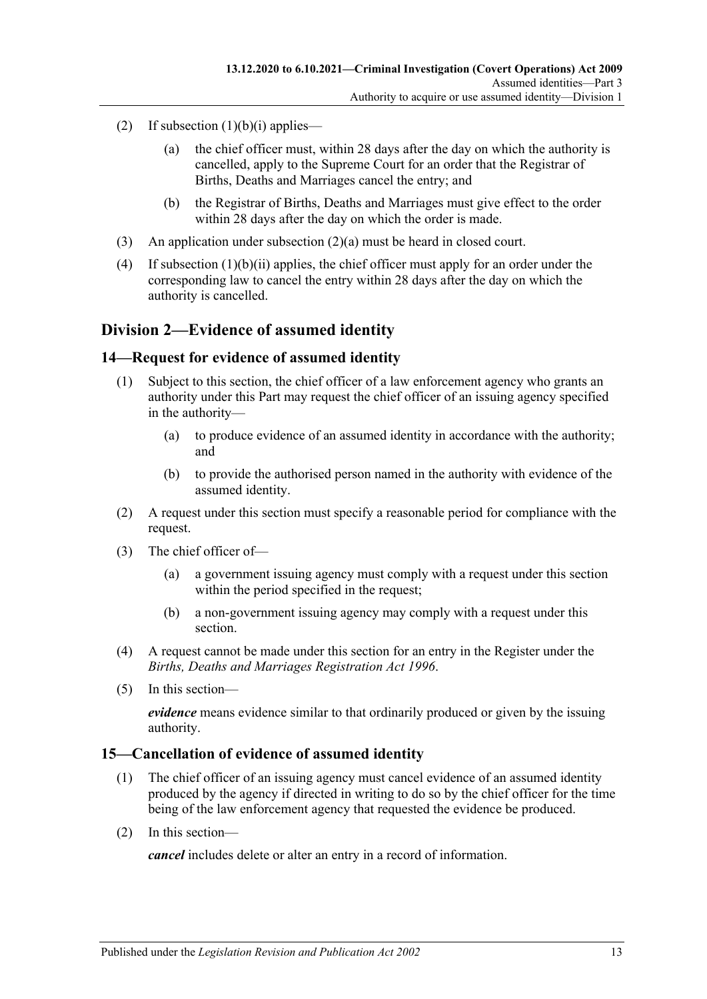- <span id="page-12-3"></span>(2) If [subsection](#page-11-3)  $(1)(b)(i)$  applies—
	- (a) the chief officer must, within 28 days after the day on which the authority is cancelled, apply to the Supreme Court for an order that the Registrar of Births, Deaths and Marriages cancel the entry; and
	- (b) the Registrar of Births, Deaths and Marriages must give effect to the order within 28 days after the day on which the order is made.
- (3) An application under [subsection](#page-12-3) (2)(a) must be heard in closed court.
- (4) If [subsection](#page-11-4) (1)(b)(ii) applies, the chief officer must apply for an order under the corresponding law to cancel the entry within 28 days after the day on which the authority is cancelled.

### <span id="page-12-0"></span>**Division 2—Evidence of assumed identity**

#### <span id="page-12-1"></span>**14—Request for evidence of assumed identity**

- (1) Subject to this section, the chief officer of a law enforcement agency who grants an authority under this Part may request the chief officer of an issuing agency specified in the authority—
	- (a) to produce evidence of an assumed identity in accordance with the authority; and
	- (b) to provide the authorised person named in the authority with evidence of the assumed identity.
- (2) A request under this section must specify a reasonable period for compliance with the request.
- (3) The chief officer of—
	- (a) a government issuing agency must comply with a request under this section within the period specified in the request;
	- (b) a non-government issuing agency may comply with a request under this section.
- (4) A request cannot be made under this section for an entry in the Register under the *[Births, Deaths and Marriages Registration Act](http://www.legislation.sa.gov.au/index.aspx?action=legref&type=act&legtitle=Births%20Deaths%20and%20Marriages%20Registration%20Act%201996) 1996*.
- (5) In this section—

*evidence* means evidence similar to that ordinarily produced or given by the issuing authority.

#### <span id="page-12-2"></span>**15—Cancellation of evidence of assumed identity**

- (1) The chief officer of an issuing agency must cancel evidence of an assumed identity produced by the agency if directed in writing to do so by the chief officer for the time being of the law enforcement agency that requested the evidence be produced.
- (2) In this section—

*cancel* includes delete or alter an entry in a record of information.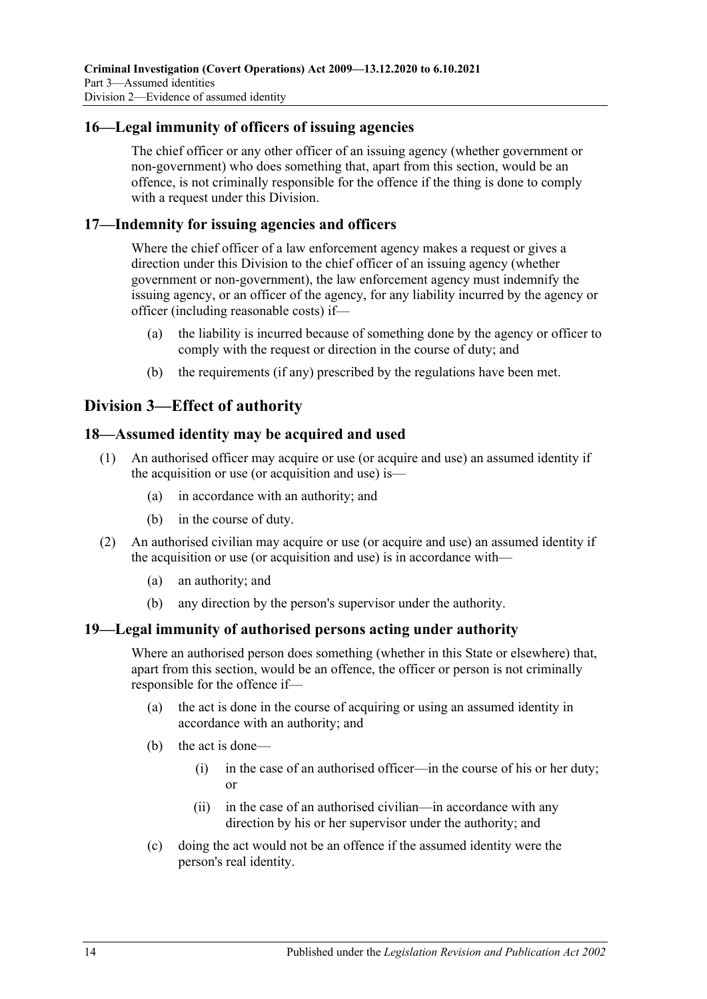#### <span id="page-13-0"></span>**16—Legal immunity of officers of issuing agencies**

The chief officer or any other officer of an issuing agency (whether government or non-government) who does something that, apart from this section, would be an offence, is not criminally responsible for the offence if the thing is done to comply with a request under this Division.

#### <span id="page-13-1"></span>**17—Indemnity for issuing agencies and officers**

Where the chief officer of a law enforcement agency makes a request or gives a direction under this Division to the chief officer of an issuing agency (whether government or non-government), the law enforcement agency must indemnify the issuing agency, or an officer of the agency, for any liability incurred by the agency or officer (including reasonable costs) if—

- (a) the liability is incurred because of something done by the agency or officer to comply with the request or direction in the course of duty; and
- (b) the requirements (if any) prescribed by the regulations have been met.

## <span id="page-13-2"></span>**Division 3—Effect of authority**

#### <span id="page-13-3"></span>**18—Assumed identity may be acquired and used**

- (1) An authorised officer may acquire or use (or acquire and use) an assumed identity if the acquisition or use (or acquisition and use) is—
	- (a) in accordance with an authority; and
	- (b) in the course of duty.
- (2) An authorised civilian may acquire or use (or acquire and use) an assumed identity if the acquisition or use (or acquisition and use) is in accordance with—
	- (a) an authority; and
	- (b) any direction by the person's supervisor under the authority.

### <span id="page-13-4"></span>**19—Legal immunity of authorised persons acting under authority**

Where an authorised person does something (whether in this State or elsewhere) that, apart from this section, would be an offence, the officer or person is not criminally responsible for the offence if—

- (a) the act is done in the course of acquiring or using an assumed identity in accordance with an authority; and
- (b) the act is done—
	- (i) in the case of an authorised officer—in the course of his or her duty; or
	- (ii) in the case of an authorised civilian—in accordance with any direction by his or her supervisor under the authority; and
- (c) doing the act would not be an offence if the assumed identity were the person's real identity.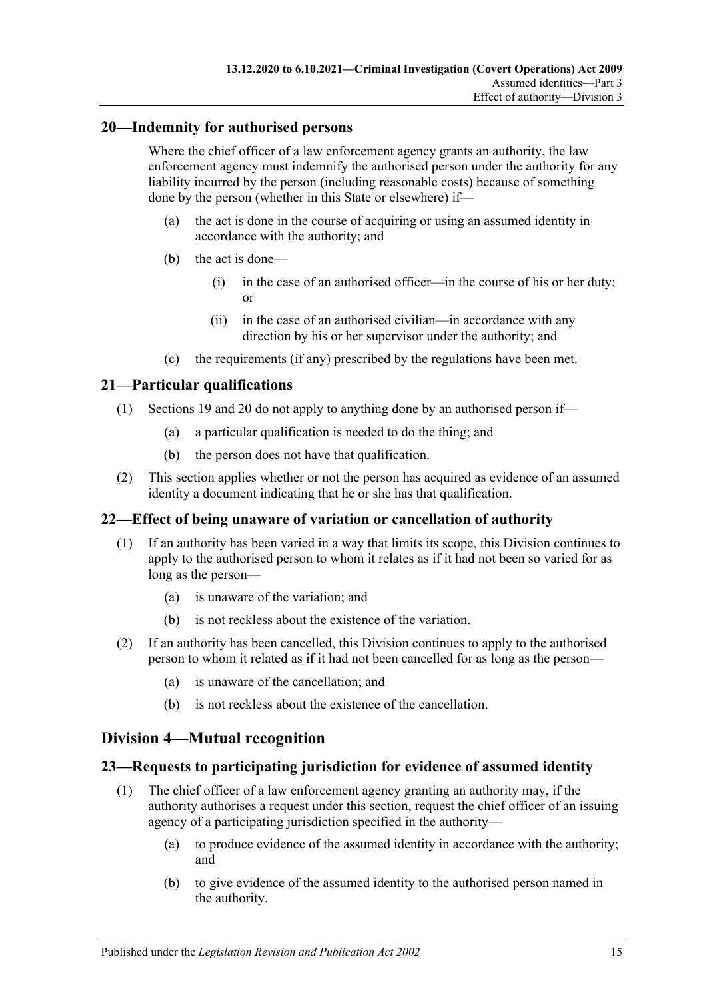#### <span id="page-14-0"></span>**20—Indemnity for authorised persons**

Where the chief officer of a law enforcement agency grants an authority, the law enforcement agency must indemnify the authorised person under the authority for any liability incurred by the person (including reasonable costs) because of something done by the person (whether in this State or elsewhere) if—

- (a) the act is done in the course of acquiring or using an assumed identity in accordance with the authority; and
- (b) the act is done—
	- (i) in the case of an authorised officer—in the course of his or her duty; or
	- (ii) in the case of an authorised civilian—in accordance with any direction by his or her supervisor under the authority; and
- (c) the requirements (if any) prescribed by the regulations have been met.

### <span id="page-14-1"></span>**21—Particular qualifications**

- (1) [Sections 19](#page-13-4) and [20](#page-14-0) do not apply to anything done by an authorised person if—
	- (a) a particular qualification is needed to do the thing; and
	- (b) the person does not have that qualification.
- (2) This section applies whether or not the person has acquired as evidence of an assumed identity a document indicating that he or she has that qualification.

#### <span id="page-14-2"></span>**22—Effect of being unaware of variation or cancellation of authority**

- (1) If an authority has been varied in a way that limits its scope, this Division continues to apply to the authorised person to whom it relates as if it had not been so varied for as long as the person—
	- (a) is unaware of the variation; and
	- (b) is not reckless about the existence of the variation.
- (2) If an authority has been cancelled, this Division continues to apply to the authorised person to whom it related as if it had not been cancelled for as long as the person—
	- (a) is unaware of the cancellation; and
	- (b) is not reckless about the existence of the cancellation.

## <span id="page-14-3"></span>**Division 4—Mutual recognition**

#### <span id="page-14-4"></span>**23—Requests to participating jurisdiction for evidence of assumed identity**

- (1) The chief officer of a law enforcement agency granting an authority may, if the authority authorises a request under this section, request the chief officer of an issuing agency of a participating jurisdiction specified in the authority—
	- (a) to produce evidence of the assumed identity in accordance with the authority; and
	- (b) to give evidence of the assumed identity to the authorised person named in the authority.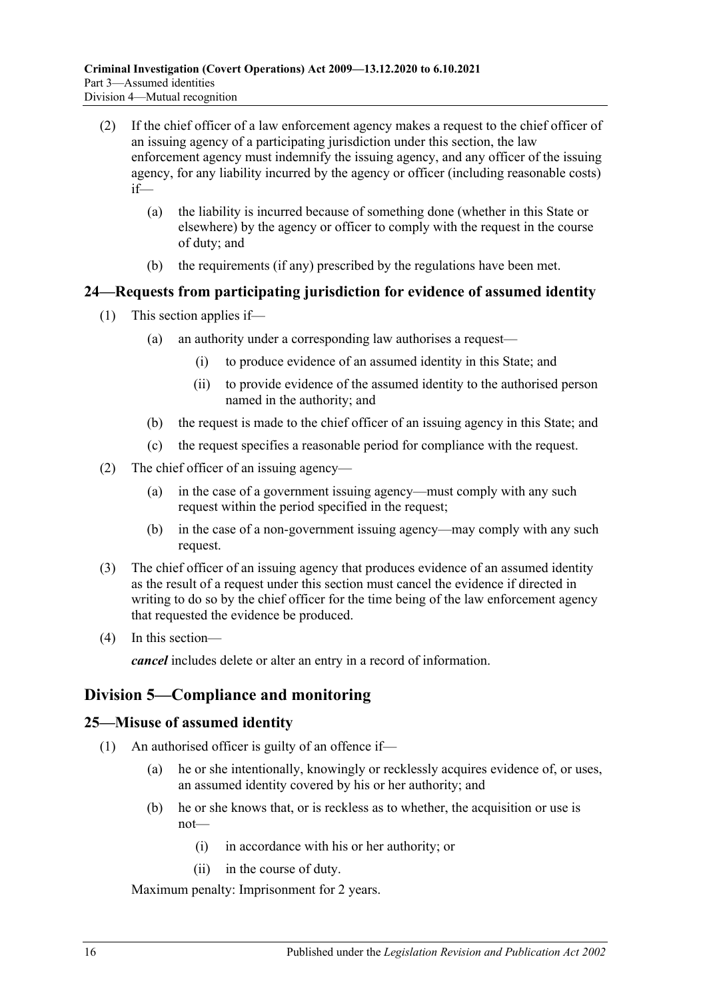- (2) If the chief officer of a law enforcement agency makes a request to the chief officer of an issuing agency of a participating jurisdiction under this section, the law enforcement agency must indemnify the issuing agency, and any officer of the issuing agency, for any liability incurred by the agency or officer (including reasonable costs) if—
	- (a) the liability is incurred because of something done (whether in this State or elsewhere) by the agency or officer to comply with the request in the course of duty; and
	- (b) the requirements (if any) prescribed by the regulations have been met.

### <span id="page-15-0"></span>**24—Requests from participating jurisdiction for evidence of assumed identity**

- (1) This section applies if—
	- (a) an authority under a corresponding law authorises a request—
		- (i) to produce evidence of an assumed identity in this State; and
		- (ii) to provide evidence of the assumed identity to the authorised person named in the authority; and
	- (b) the request is made to the chief officer of an issuing agency in this State; and
	- (c) the request specifies a reasonable period for compliance with the request.
- (2) The chief officer of an issuing agency—
	- (a) in the case of a government issuing agency—must comply with any such request within the period specified in the request;
	- (b) in the case of a non-government issuing agency—may comply with any such request.
- (3) The chief officer of an issuing agency that produces evidence of an assumed identity as the result of a request under this section must cancel the evidence if directed in writing to do so by the chief officer for the time being of the law enforcement agency that requested the evidence be produced.
- (4) In this section—

*cancel* includes delete or alter an entry in a record of information.

## <span id="page-15-1"></span>**Division 5—Compliance and monitoring**

#### <span id="page-15-2"></span>**25—Misuse of assumed identity**

- (1) An authorised officer is guilty of an offence if—
	- (a) he or she intentionally, knowingly or recklessly acquires evidence of, or uses, an assumed identity covered by his or her authority; and
	- (b) he or she knows that, or is reckless as to whether, the acquisition or use is not—
		- (i) in accordance with his or her authority; or
		- (ii) in the course of duty.

Maximum penalty: Imprisonment for 2 years.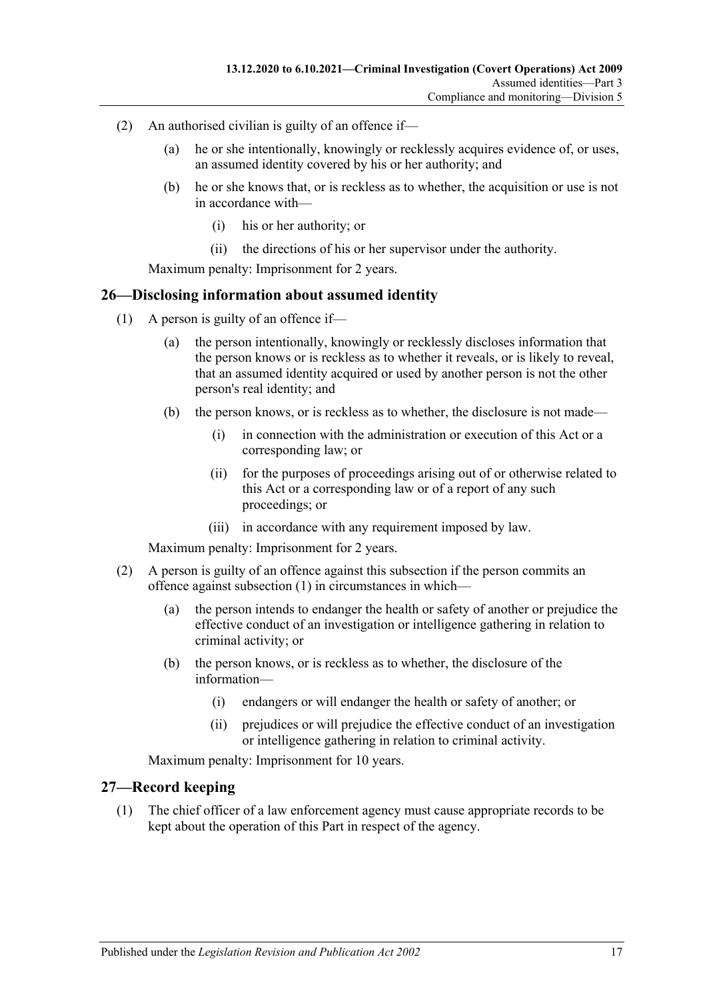- (2) An authorised civilian is guilty of an offence if—
	- (a) he or she intentionally, knowingly or recklessly acquires evidence of, or uses, an assumed identity covered by his or her authority; and
	- (b) he or she knows that, or is reckless as to whether, the acquisition or use is not in accordance with—
		- (i) his or her authority; or
		- (ii) the directions of his or her supervisor under the authority.

Maximum penalty: Imprisonment for 2 years.

#### <span id="page-16-2"></span><span id="page-16-0"></span>**26—Disclosing information about assumed identity**

- (1) A person is guilty of an offence if—
	- (a) the person intentionally, knowingly or recklessly discloses information that the person knows or is reckless as to whether it reveals, or is likely to reveal, that an assumed identity acquired or used by another person is not the other person's real identity; and
	- (b) the person knows, or is reckless as to whether, the disclosure is not made—
		- (i) in connection with the administration or execution of this Act or a corresponding law; or
		- (ii) for the purposes of proceedings arising out of or otherwise related to this Act or a corresponding law or of a report of any such proceedings; or
		- (iii) in accordance with any requirement imposed by law.

Maximum penalty: Imprisonment for 2 years.

- (2) A person is guilty of an offence against this subsection if the person commits an offence against [subsection](#page-16-2) (1) in circumstances in which—
	- (a) the person intends to endanger the health or safety of another or prejudice the effective conduct of an investigation or intelligence gathering in relation to criminal activity; or
	- (b) the person knows, or is reckless as to whether, the disclosure of the information—
		- (i) endangers or will endanger the health or safety of another; or
		- (ii) prejudices or will prejudice the effective conduct of an investigation or intelligence gathering in relation to criminal activity.

Maximum penalty: Imprisonment for 10 years.

#### <span id="page-16-3"></span><span id="page-16-1"></span>**27—Record keeping**

(1) The chief officer of a law enforcement agency must cause appropriate records to be kept about the operation of this Part in respect of the agency.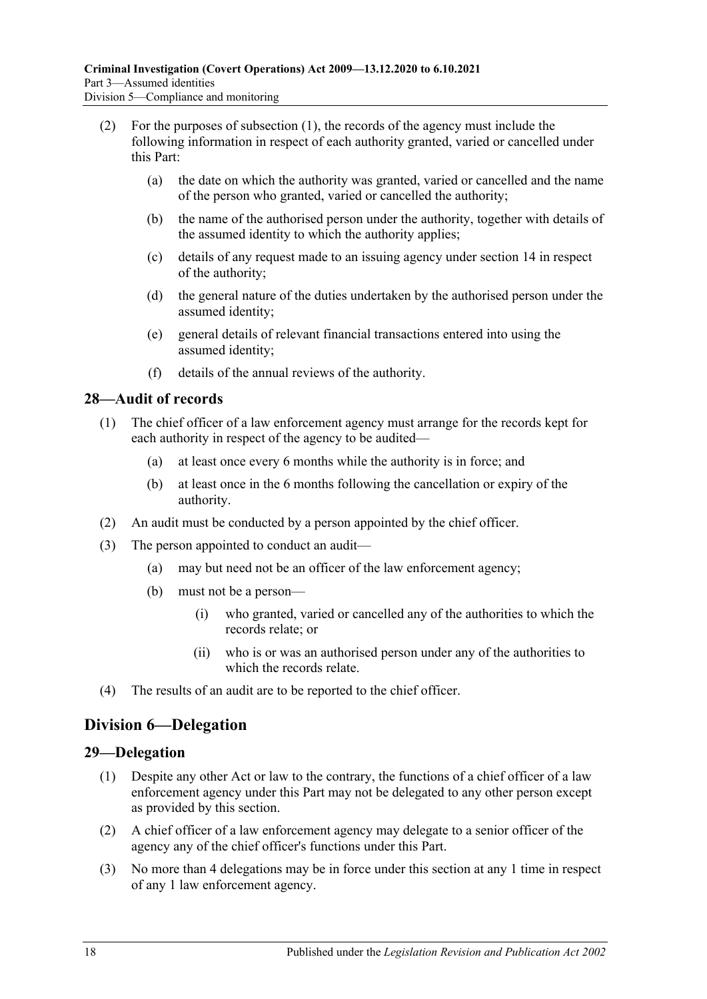- (2) For the purposes of [subsection](#page-16-3) (1), the records of the agency must include the following information in respect of each authority granted, varied or cancelled under this Part:
	- (a) the date on which the authority was granted, varied or cancelled and the name of the person who granted, varied or cancelled the authority;
	- (b) the name of the authorised person under the authority, together with details of the assumed identity to which the authority applies;
	- (c) details of any request made to an issuing agency under [section](#page-12-1) 14 in respect of the authority;
	- (d) the general nature of the duties undertaken by the authorised person under the assumed identity;
	- (e) general details of relevant financial transactions entered into using the assumed identity;
	- (f) details of the annual reviews of the authority.

### <span id="page-17-0"></span>**28—Audit of records**

- (1) The chief officer of a law enforcement agency must arrange for the records kept for each authority in respect of the agency to be audited—
	- (a) at least once every 6 months while the authority is in force; and
	- (b) at least once in the 6 months following the cancellation or expiry of the authority.
- (2) An audit must be conducted by a person appointed by the chief officer.
- (3) The person appointed to conduct an audit—
	- (a) may but need not be an officer of the law enforcement agency;
	- (b) must not be a person—
		- (i) who granted, varied or cancelled any of the authorities to which the records relate; or
		- (ii) who is or was an authorised person under any of the authorities to which the records relate.
- (4) The results of an audit are to be reported to the chief officer.

## <span id="page-17-1"></span>**Division 6—Delegation**

### <span id="page-17-2"></span>**29—Delegation**

- (1) Despite any other Act or law to the contrary, the functions of a chief officer of a law enforcement agency under this Part may not be delegated to any other person except as provided by this section.
- (2) A chief officer of a law enforcement agency may delegate to a senior officer of the agency any of the chief officer's functions under this Part.
- (3) No more than 4 delegations may be in force under this section at any 1 time in respect of any 1 law enforcement agency.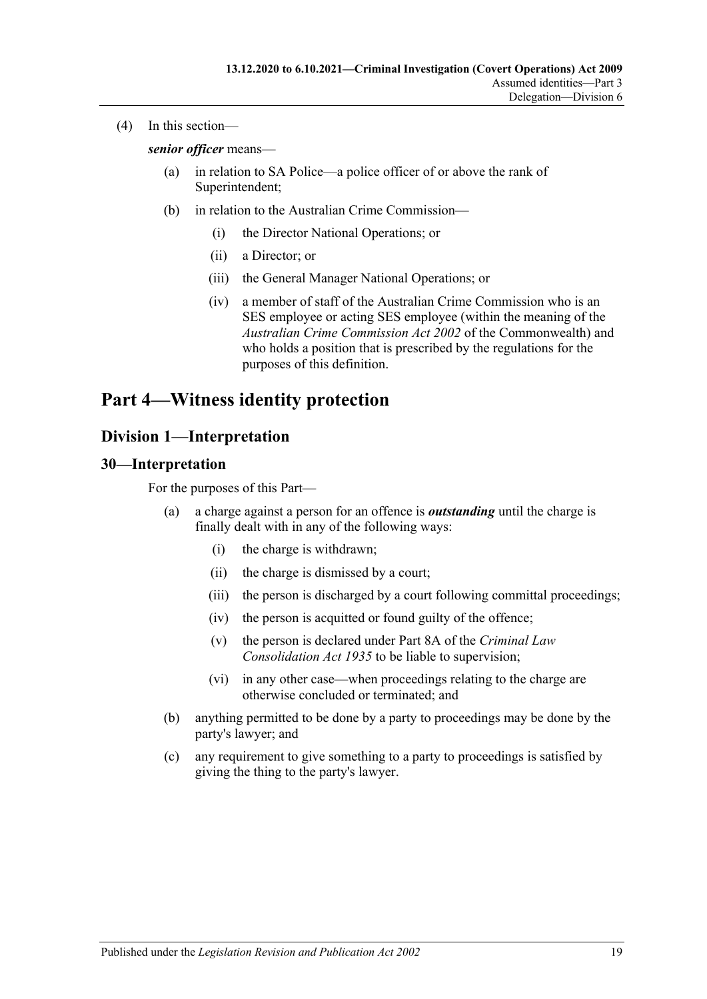(4) In this section—

*senior officer* means—

- (a) in relation to SA Police—a police officer of or above the rank of Superintendent;
- (b) in relation to the Australian Crime Commission—
	- (i) the Director National Operations; or
	- (ii) a Director; or
	- (iii) the General Manager National Operations; or
	- (iv) a member of staff of the Australian Crime Commission who is an SES employee or acting SES employee (within the meaning of the *Australian Crime Commission Act 2002* of the Commonwealth) and who holds a position that is prescribed by the regulations for the purposes of this definition.

## <span id="page-18-0"></span>**Part 4—Witness identity protection**

## <span id="page-18-1"></span>**Division 1—Interpretation**

#### <span id="page-18-2"></span>**30—Interpretation**

For the purposes of this Part—

- (a) a charge against a person for an offence is *outstanding* until the charge is finally dealt with in any of the following ways:
	- (i) the charge is withdrawn;
	- (ii) the charge is dismissed by a court;
	- (iii) the person is discharged by a court following committal proceedings;
	- (iv) the person is acquitted or found guilty of the offence;
	- (v) the person is declared under Part 8A of the *[Criminal Law](http://www.legislation.sa.gov.au/index.aspx?action=legref&type=act&legtitle=Criminal%20Law%20Consolidation%20Act%201935)  [Consolidation Act](http://www.legislation.sa.gov.au/index.aspx?action=legref&type=act&legtitle=Criminal%20Law%20Consolidation%20Act%201935) 1935* to be liable to supervision;
	- (vi) in any other case—when proceedings relating to the charge are otherwise concluded or terminated; and
- (b) anything permitted to be done by a party to proceedings may be done by the party's lawyer; and
- (c) any requirement to give something to a party to proceedings is satisfied by giving the thing to the party's lawyer.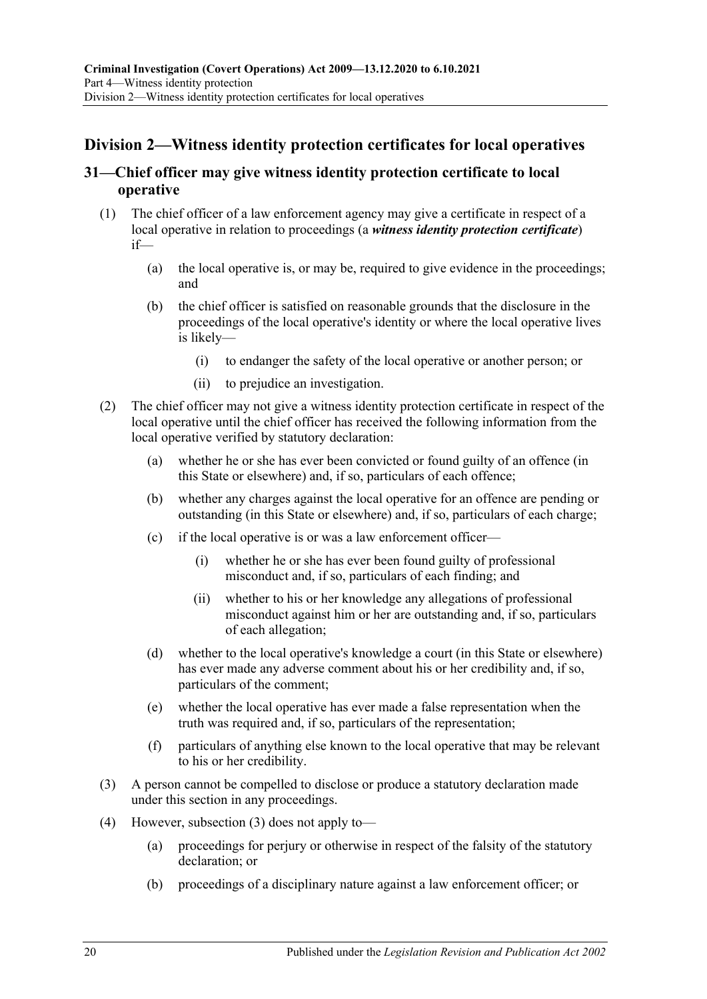## <span id="page-19-0"></span>**Division 2—Witness identity protection certificates for local operatives**

### <span id="page-19-1"></span>**31—Chief officer may give witness identity protection certificate to local operative**

- <span id="page-19-3"></span>(1) The chief officer of a law enforcement agency may give a certificate in respect of a local operative in relation to proceedings (a *witness identity protection certificate*) if—
	- (a) the local operative is, or may be, required to give evidence in the proceedings; and
	- (b) the chief officer is satisfied on reasonable grounds that the disclosure in the proceedings of the local operative's identity or where the local operative lives is likely—
		- (i) to endanger the safety of the local operative or another person; or
		- (ii) to prejudice an investigation.
- (2) The chief officer may not give a witness identity protection certificate in respect of the local operative until the chief officer has received the following information from the local operative verified by statutory declaration:
	- (a) whether he or she has ever been convicted or found guilty of an offence (in this State or elsewhere) and, if so, particulars of each offence;
	- (b) whether any charges against the local operative for an offence are pending or outstanding (in this State or elsewhere) and, if so, particulars of each charge;
	- (c) if the local operative is or was a law enforcement officer—
		- (i) whether he or she has ever been found guilty of professional misconduct and, if so, particulars of each finding; and
		- (ii) whether to his or her knowledge any allegations of professional misconduct against him or her are outstanding and, if so, particulars of each allegation;
	- (d) whether to the local operative's knowledge a court (in this State or elsewhere) has ever made any adverse comment about his or her credibility and, if so, particulars of the comment;
	- (e) whether the local operative has ever made a false representation when the truth was required and, if so, particulars of the representation;
	- (f) particulars of anything else known to the local operative that may be relevant to his or her credibility.
- <span id="page-19-2"></span>(3) A person cannot be compelled to disclose or produce a statutory declaration made under this section in any proceedings.
- (4) However, [subsection \(3\)](#page-19-2) does not apply to—
	- (a) proceedings for perjury or otherwise in respect of the falsity of the statutory declaration; or
	- (b) proceedings of a disciplinary nature against a law enforcement officer; or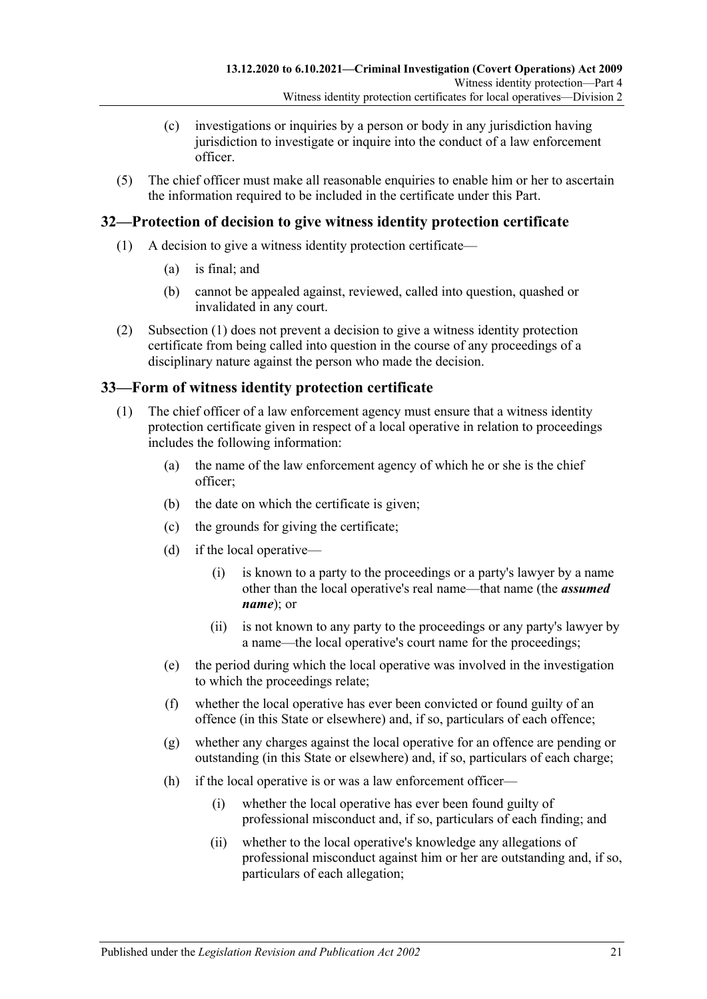- (c) investigations or inquiries by a person or body in any jurisdiction having jurisdiction to investigate or inquire into the conduct of a law enforcement officer.
- (5) The chief officer must make all reasonable enquiries to enable him or her to ascertain the information required to be included in the certificate under this Part.

#### <span id="page-20-3"></span><span id="page-20-0"></span>**32—Protection of decision to give witness identity protection certificate**

- (1) A decision to give a witness identity protection certificate—
	- (a) is final; and
	- (b) cannot be appealed against, reviewed, called into question, quashed or invalidated in any court.
- (2) [Subsection \(1\)](#page-20-3) does not prevent a decision to give a witness identity protection certificate from being called into question in the course of any proceedings of a disciplinary nature against the person who made the decision.

### <span id="page-20-1"></span>**33—Form of witness identity protection certificate**

- <span id="page-20-2"></span>(1) The chief officer of a law enforcement agency must ensure that a witness identity protection certificate given in respect of a local operative in relation to proceedings includes the following information:
	- (a) the name of the law enforcement agency of which he or she is the chief officer;
	- (b) the date on which the certificate is given;
	- (c) the grounds for giving the certificate;
	- (d) if the local operative—
		- (i) is known to a party to the proceedings or a party's lawyer by a name other than the local operative's real name—that name (the *assumed name*); or
		- (ii) is not known to any party to the proceedings or any party's lawyer by a name—the local operative's court name for the proceedings;
	- (e) the period during which the local operative was involved in the investigation to which the proceedings relate;
	- (f) whether the local operative has ever been convicted or found guilty of an offence (in this State or elsewhere) and, if so, particulars of each offence;
	- (g) whether any charges against the local operative for an offence are pending or outstanding (in this State or elsewhere) and, if so, particulars of each charge;
	- (h) if the local operative is or was a law enforcement officer—
		- (i) whether the local operative has ever been found guilty of professional misconduct and, if so, particulars of each finding; and
		- (ii) whether to the local operative's knowledge any allegations of professional misconduct against him or her are outstanding and, if so, particulars of each allegation;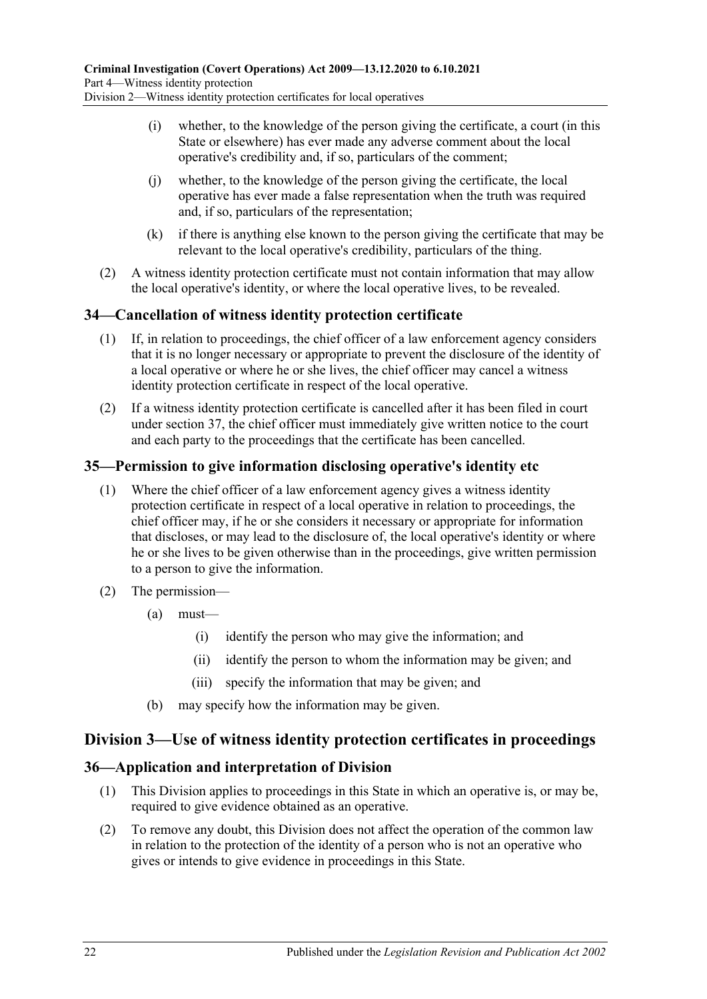- (i) whether, to the knowledge of the person giving the certificate, a court (in this State or elsewhere) has ever made any adverse comment about the local operative's credibility and, if so, particulars of the comment;
- (j) whether, to the knowledge of the person giving the certificate, the local operative has ever made a false representation when the truth was required and, if so, particulars of the representation;
- (k) if there is anything else known to the person giving the certificate that may be relevant to the local operative's credibility, particulars of the thing.
- (2) A witness identity protection certificate must not contain information that may allow the local operative's identity, or where the local operative lives, to be revealed.

### <span id="page-21-0"></span>**34—Cancellation of witness identity protection certificate**

- (1) If, in relation to proceedings, the chief officer of a law enforcement agency considers that it is no longer necessary or appropriate to prevent the disclosure of the identity of a local operative or where he or she lives, the chief officer may cancel a witness identity protection certificate in respect of the local operative.
- (2) If a witness identity protection certificate is cancelled after it has been filed in court under [section](#page-22-0) 37, the chief officer must immediately give written notice to the court and each party to the proceedings that the certificate has been cancelled.

## <span id="page-21-1"></span>**35—Permission to give information disclosing operative's identity etc**

- (1) Where the chief officer of a law enforcement agency gives a witness identity protection certificate in respect of a local operative in relation to proceedings, the chief officer may, if he or she considers it necessary or appropriate for information that discloses, or may lead to the disclosure of, the local operative's identity or where he or she lives to be given otherwise than in the proceedings, give written permission to a person to give the information.
- (2) The permission—
	- (a) must—
		- (i) identify the person who may give the information; and
		- (ii) identify the person to whom the information may be given; and
		- (iii) specify the information that may be given; and
	- (b) may specify how the information may be given.

## <span id="page-21-2"></span>**Division 3—Use of witness identity protection certificates in proceedings**

### <span id="page-21-3"></span>**36—Application and interpretation of Division**

- (1) This Division applies to proceedings in this State in which an operative is, or may be, required to give evidence obtained as an operative.
- (2) To remove any doubt, this Division does not affect the operation of the common law in relation to the protection of the identity of a person who is not an operative who gives or intends to give evidence in proceedings in this State.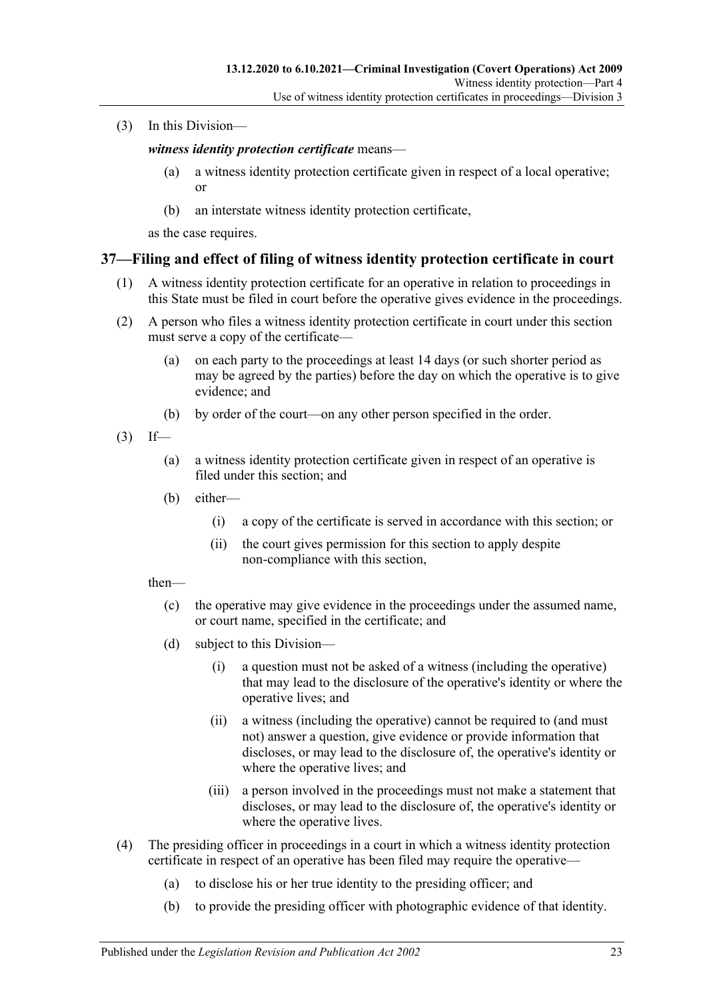(3) In this Division—

*witness identity protection certificate* means—

- (a) a witness identity protection certificate given in respect of a local operative; or
- (b) an interstate witness identity protection certificate,

as the case requires.

#### <span id="page-22-0"></span>**37—Filing and effect of filing of witness identity protection certificate in court**

- (1) A witness identity protection certificate for an operative in relation to proceedings in this State must be filed in court before the operative gives evidence in the proceedings.
- (2) A person who files a witness identity protection certificate in court under this section must serve a copy of the certificate—
	- (a) on each party to the proceedings at least 14 days (or such shorter period as may be agreed by the parties) before the day on which the operative is to give evidence; and
	- (b) by order of the court—on any other person specified in the order.
- $(3)$  If—
	- (a) a witness identity protection certificate given in respect of an operative is filed under this section; and
	- (b) either—
		- (i) a copy of the certificate is served in accordance with this section; or
		- (ii) the court gives permission for this section to apply despite non-compliance with this section,

then—

- (c) the operative may give evidence in the proceedings under the assumed name, or court name, specified in the certificate; and
- (d) subject to this Division—
	- (i) a question must not be asked of a witness (including the operative) that may lead to the disclosure of the operative's identity or where the operative lives; and
	- (ii) a witness (including the operative) cannot be required to (and must not) answer a question, give evidence or provide information that discloses, or may lead to the disclosure of, the operative's identity or where the operative lives; and
	- (iii) a person involved in the proceedings must not make a statement that discloses, or may lead to the disclosure of, the operative's identity or where the operative lives.
- (4) The presiding officer in proceedings in a court in which a witness identity protection certificate in respect of an operative has been filed may require the operative—
	- (a) to disclose his or her true identity to the presiding officer; and
	- (b) to provide the presiding officer with photographic evidence of that identity.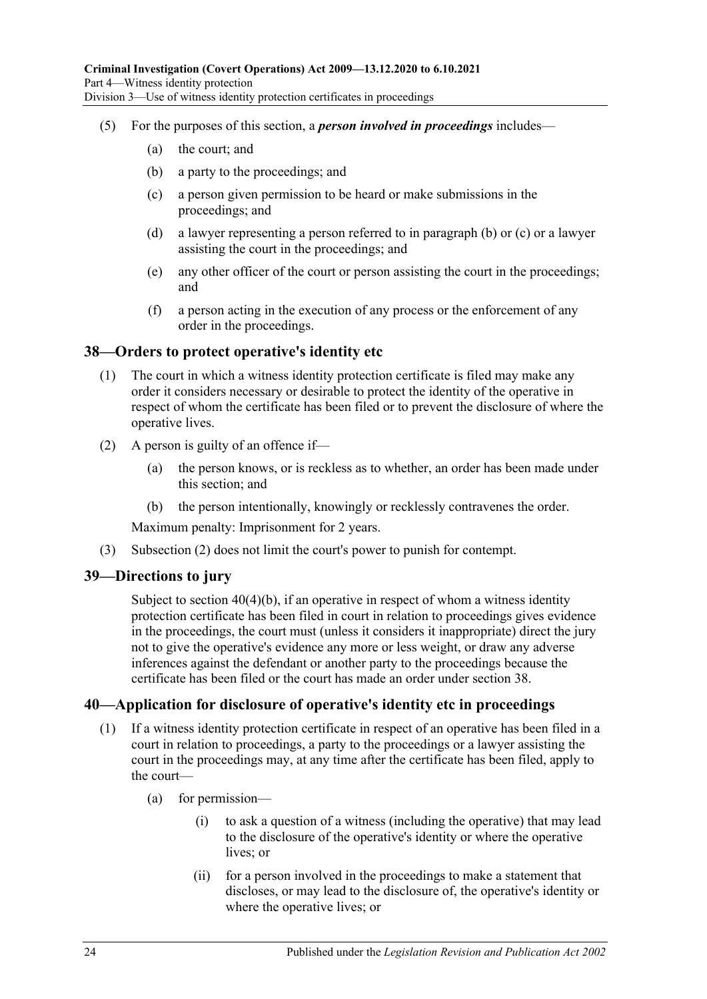- <span id="page-23-4"></span><span id="page-23-3"></span>(5) For the purposes of this section, a *person involved in proceedings* includes—
	- (a) the court; and
	- (b) a party to the proceedings; and
	- (c) a person given permission to be heard or make submissions in the proceedings; and
	- (d) a lawyer representing a person referred to in [paragraph](#page-23-3) (b) or [\(c\)](#page-23-4) or a lawyer assisting the court in the proceedings; and
	- (e) any other officer of the court or person assisting the court in the proceedings; and
	- (f) a person acting in the execution of any process or the enforcement of any order in the proceedings.

#### <span id="page-23-0"></span>**38—Orders to protect operative's identity etc**

- (1) The court in which a witness identity protection certificate is filed may make any order it considers necessary or desirable to protect the identity of the operative in respect of whom the certificate has been filed or to prevent the disclosure of where the operative lives.
- <span id="page-23-5"></span>(2) A person is guilty of an offence if—
	- (a) the person knows, or is reckless as to whether, an order has been made under this section; and
	- (b) the person intentionally, knowingly or recklessly contravenes the order.

Maximum penalty: Imprisonment for 2 years.

(3) [Subsection \(2\)](#page-23-5) does not limit the court's power to punish for contempt.

#### <span id="page-23-1"></span>**39—Directions to jury**

Subject to section [40\(4\)\(b\),](#page-24-0) if an operative in respect of whom a witness identity protection certificate has been filed in court in relation to proceedings gives evidence in the proceedings, the court must (unless it considers it inappropriate) direct the jury not to give the operative's evidence any more or less weight, or draw any adverse inferences against the defendant or another party to the proceedings because the certificate has been filed or the court has made an order under [section](#page-23-0) 38.

#### <span id="page-23-2"></span>**40—Application for disclosure of operative's identity etc in proceedings**

- (1) If a witness identity protection certificate in respect of an operative has been filed in a court in relation to proceedings, a party to the proceedings or a lawyer assisting the court in the proceedings may, at any time after the certificate has been filed, apply to the court—
	- (a) for permission—
		- (i) to ask a question of a witness (including the operative) that may lead to the disclosure of the operative's identity or where the operative lives; or
		- (ii) for a person involved in the proceedings to make a statement that discloses, or may lead to the disclosure of, the operative's identity or where the operative lives; or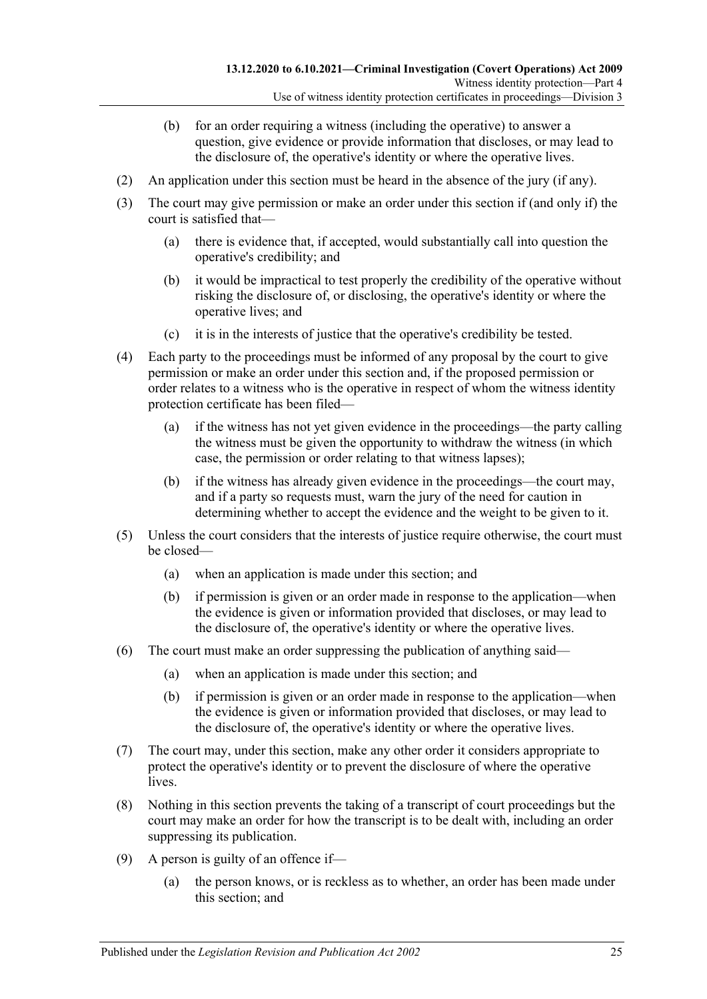- (b) for an order requiring a witness (including the operative) to answer a question, give evidence or provide information that discloses, or may lead to the disclosure of, the operative's identity or where the operative lives.
- (2) An application under this section must be heard in the absence of the jury (if any).
- (3) The court may give permission or make an order under this section if (and only if) the court is satisfied that—
	- (a) there is evidence that, if accepted, would substantially call into question the operative's credibility; and
	- (b) it would be impractical to test properly the credibility of the operative without risking the disclosure of, or disclosing, the operative's identity or where the operative lives; and
	- (c) it is in the interests of justice that the operative's credibility be tested.
- (4) Each party to the proceedings must be informed of any proposal by the court to give permission or make an order under this section and, if the proposed permission or order relates to a witness who is the operative in respect of whom the witness identity protection certificate has been filed—
	- (a) if the witness has not yet given evidence in the proceedings—the party calling the witness must be given the opportunity to withdraw the witness (in which case, the permission or order relating to that witness lapses);
	- (b) if the witness has already given evidence in the proceedings—the court may, and if a party so requests must, warn the jury of the need for caution in determining whether to accept the evidence and the weight to be given to it.
- <span id="page-24-0"></span>(5) Unless the court considers that the interests of justice require otherwise, the court must be closed—
	- (a) when an application is made under this section; and
	- (b) if permission is given or an order made in response to the application—when the evidence is given or information provided that discloses, or may lead to the disclosure of, the operative's identity or where the operative lives.
- (6) The court must make an order suppressing the publication of anything said—
	- (a) when an application is made under this section; and
	- (b) if permission is given or an order made in response to the application—when the evidence is given or information provided that discloses, or may lead to the disclosure of, the operative's identity or where the operative lives.
- (7) The court may, under this section, make any other order it considers appropriate to protect the operative's identity or to prevent the disclosure of where the operative lives.
- (8) Nothing in this section prevents the taking of a transcript of court proceedings but the court may make an order for how the transcript is to be dealt with, including an order suppressing its publication.
- <span id="page-24-1"></span>(9) A person is guilty of an offence if—
	- (a) the person knows, or is reckless as to whether, an order has been made under this section; and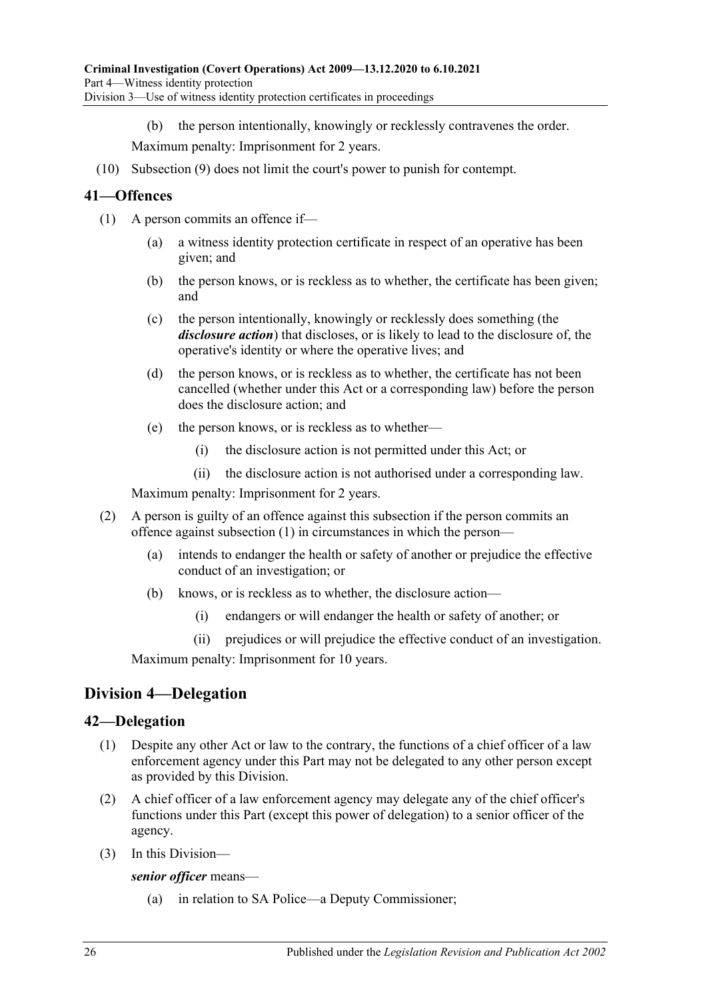(b) the person intentionally, knowingly or recklessly contravenes the order.

Maximum penalty: Imprisonment for 2 years.

(10) [Subsection \(9\)](#page-24-1) does not limit the court's power to punish for contempt.

### <span id="page-25-3"></span><span id="page-25-0"></span>**41—Offences**

- (1) A person commits an offence if—
	- (a) a witness identity protection certificate in respect of an operative has been given; and
	- (b) the person knows, or is reckless as to whether, the certificate has been given; and
	- (c) the person intentionally, knowingly or recklessly does something (the *disclosure action*) that discloses, or is likely to lead to the disclosure of, the operative's identity or where the operative lives; and
	- (d) the person knows, or is reckless as to whether, the certificate has not been cancelled (whether under this Act or a corresponding law) before the person does the disclosure action; and
	- (e) the person knows, or is reckless as to whether—
		- (i) the disclosure action is not permitted under this Act; or
		- (ii) the disclosure action is not authorised under a corresponding law.

Maximum penalty: Imprisonment for 2 years.

- (2) A person is guilty of an offence against this subsection if the person commits an offence against [subsection](#page-25-3) (1) in circumstances in which the person—
	- (a) intends to endanger the health or safety of another or prejudice the effective conduct of an investigation; or
	- (b) knows, or is reckless as to whether, the disclosure action—
		- (i) endangers or will endanger the health or safety of another; or
		- (ii) prejudices or will prejudice the effective conduct of an investigation.

Maximum penalty: Imprisonment for 10 years.

## <span id="page-25-1"></span>**Division 4—Delegation**

#### <span id="page-25-2"></span>**42—Delegation**

- (1) Despite any other Act or law to the contrary, the functions of a chief officer of a law enforcement agency under this Part may not be delegated to any other person except as provided by this Division.
- (2) A chief officer of a law enforcement agency may delegate any of the chief officer's functions under this Part (except this power of delegation) to a senior officer of the agency.
- (3) In this Division—

*senior officer* means—

(a) in relation to SA Police—a Deputy Commissioner;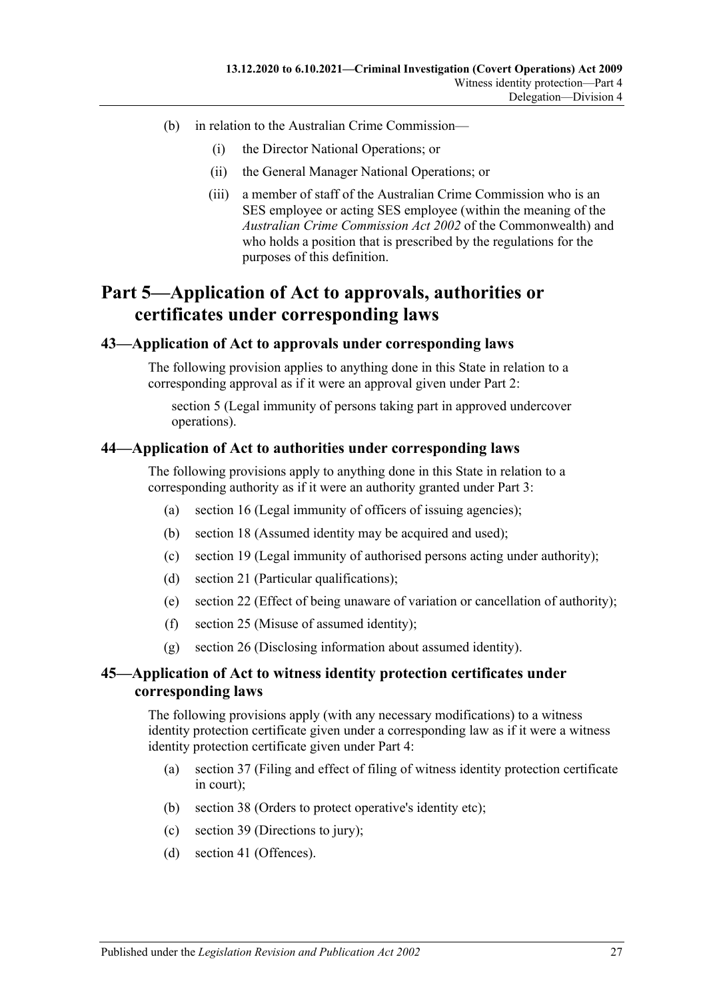- (b) in relation to the Australian Crime Commission—
	- (i) the Director National Operations; or
	- (ii) the General Manager National Operations; or
	- (iii) a member of staff of the Australian Crime Commission who is an SES employee or acting SES employee (within the meaning of the *Australian Crime Commission Act 2002* of the Commonwealth) and who holds a position that is prescribed by the regulations for the purposes of this definition.

## <span id="page-26-0"></span>**Part 5—Application of Act to approvals, authorities or certificates under corresponding laws**

#### <span id="page-26-1"></span>**43—Application of Act to approvals under corresponding laws**

The following provision applies to anything done in this State in relation to a corresponding approval as if it were an approval given under [Part 2:](#page-6-0)

[section](#page-8-0) 5 (Legal immunity of persons taking part in approved undercover operations).

#### <span id="page-26-2"></span>**44—Application of Act to authorities under corresponding laws**

The following provisions apply to anything done in this State in relation to a corresponding authority as if it were an authority granted under [Part 3:](#page-8-1)

- (a) [section](#page-13-0) 16 (Legal immunity of officers of issuing agencies);
- (b) [section](#page-13-3) 18 (Assumed identity may be acquired and used);
- (c) [section](#page-13-4) 19 (Legal immunity of authorised persons acting under authority);
- (d) [section](#page-14-1) 21 (Particular qualifications);
- (e) [section](#page-14-2) 22 (Effect of being unaware of variation or cancellation of authority);
- (f) [section](#page-15-2) 25 (Misuse of assumed identity);
- (g) [section](#page-16-0) 26 (Disclosing information about assumed identity).

#### <span id="page-26-3"></span>**45—Application of Act to witness identity protection certificates under corresponding laws**

The following provisions apply (with any necessary modifications) to a witness identity protection certificate given under a corresponding law as if it were a witness identity protection certificate given under [Part 4:](#page-18-0)

- (a) [section](#page-22-0) 37 (Filing and effect of filing of witness identity protection certificate in court);
- (b) [section](#page-23-0) 38 (Orders to protect operative's identity etc);
- (c) [section](#page-23-1) 39 (Directions to jury);
- (d) [section](#page-25-0) 41 (Offences).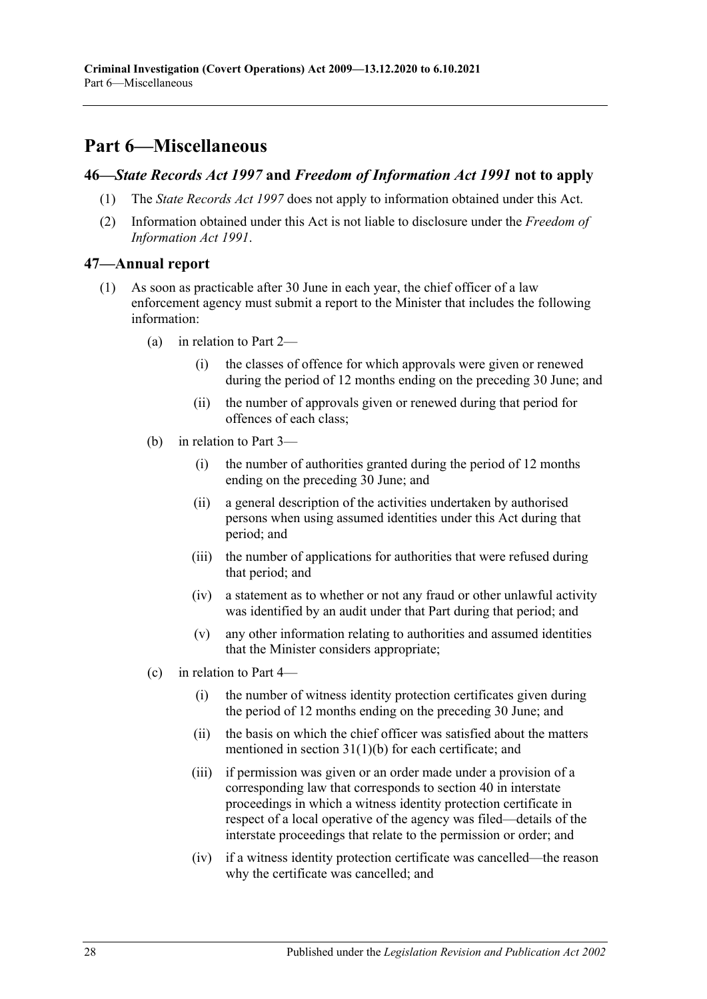## <span id="page-27-0"></span>**Part 6—Miscellaneous**

#### <span id="page-27-1"></span>**46—***State Records Act 1997* **and** *Freedom of Information Act 1991* **not to apply**

- (1) The *[State Records Act](http://www.legislation.sa.gov.au/index.aspx?action=legref&type=act&legtitle=State%20Records%20Act%201997) 1997* does not apply to information obtained under this Act.
- (2) Information obtained under this Act is not liable to disclosure under the *[Freedom of](http://www.legislation.sa.gov.au/index.aspx?action=legref&type=act&legtitle=Freedom%20of%20Information%20Act%201991)  [Information Act](http://www.legislation.sa.gov.au/index.aspx?action=legref&type=act&legtitle=Freedom%20of%20Information%20Act%201991) 1991*.

#### <span id="page-27-2"></span>**47—Annual report**

- (1) As soon as practicable after 30 June in each year, the chief officer of a law enforcement agency must submit a report to the Minister that includes the following information:
	- (a) in relation to [Part 2—](#page-6-0)
		- (i) the classes of offence for which approvals were given or renewed during the period of 12 months ending on the preceding 30 June; and
		- (ii) the number of approvals given or renewed during that period for offences of each class;
	- (b) in relation to [Part 3—](#page-8-1)
		- (i) the number of authorities granted during the period of 12 months ending on the preceding 30 June; and
		- (ii) a general description of the activities undertaken by authorised persons when using assumed identities under this Act during that period; and
		- (iii) the number of applications for authorities that were refused during that period; and
		- (iv) a statement as to whether or not any fraud or other unlawful activity was identified by an audit under that Part during that period; and
		- (v) any other information relating to authorities and assumed identities that the Minister considers appropriate;
	- (c) in relation to [Part 4—](#page-18-0)
		- (i) the number of witness identity protection certificates given during the period of 12 months ending on the preceding 30 June; and
		- (ii) the basis on which the chief officer was satisfied about the matters mentioned in section [31\(1\)\(b\)](#page-19-3) for each certificate; and
		- (iii) if permission was given or an order made under a provision of a corresponding law that corresponds to [section](#page-23-2) 40 in interstate proceedings in which a witness identity protection certificate in respect of a local operative of the agency was filed—details of the interstate proceedings that relate to the permission or order; and
		- (iv) if a witness identity protection certificate was cancelled—the reason why the certificate was cancelled; and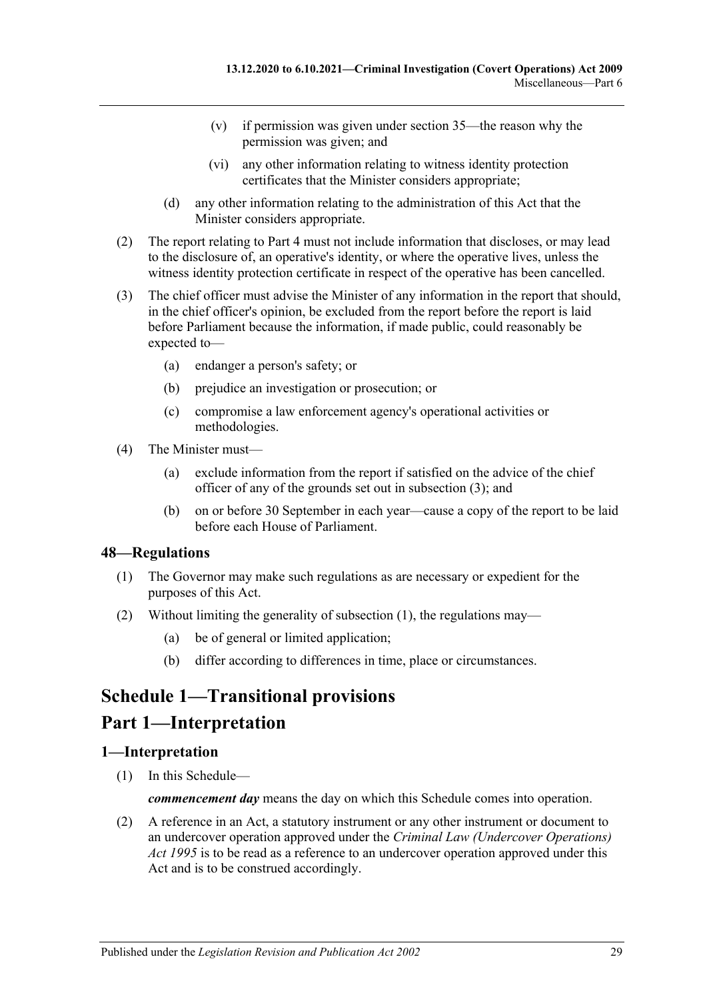- (v) if permission was given under [section](#page-21-1) 35—the reason why the permission was given; and
- (vi) any other information relating to witness identity protection certificates that the Minister considers appropriate;
- (d) any other information relating to the administration of this Act that the Minister considers appropriate.
- (2) The report relating to [Part 4](#page-18-0) must not include information that discloses, or may lead to the disclosure of, an operative's identity, or where the operative lives, unless the witness identity protection certificate in respect of the operative has been cancelled.
- <span id="page-28-3"></span>(3) The chief officer must advise the Minister of any information in the report that should, in the chief officer's opinion, be excluded from the report before the report is laid before Parliament because the information, if made public, could reasonably be expected to—
	- (a) endanger a person's safety; or
	- (b) prejudice an investigation or prosecution; or
	- (c) compromise a law enforcement agency's operational activities or methodologies.
- (4) The Minister must—
	- (a) exclude information from the report if satisfied on the advice of the chief officer of any of the grounds set out in [subsection](#page-28-3) (3); and
	- (b) on or before 30 September in each year—cause a copy of the report to be laid before each House of Parliament.

#### <span id="page-28-4"></span><span id="page-28-0"></span>**48—Regulations**

- (1) The Governor may make such regulations as are necessary or expedient for the purposes of this Act.
- (2) Without limiting the generality of [subsection](#page-28-4) (1), the regulations may—
	- (a) be of general or limited application;
	- (b) differ according to differences in time, place or circumstances.

# <span id="page-28-1"></span>**Schedule 1—Transitional provisions**

## **Part 1—Interpretation**

#### <span id="page-28-2"></span>**1—Interpretation**

(1) In this Schedule—

*commencement day* means the day on which this Schedule comes into operation.

(2) A reference in an Act, a statutory instrument or any other instrument or document to an undercover operation approved under the *[Criminal Law \(Undercover Operations\)](http://www.legislation.sa.gov.au/index.aspx?action=legref&type=act&legtitle=Criminal%20Law%20(Undercover%20Operations)%20Act%201995)  Act [1995](http://www.legislation.sa.gov.au/index.aspx?action=legref&type=act&legtitle=Criminal%20Law%20(Undercover%20Operations)%20Act%201995)* is to be read as a reference to an undercover operation approved under this Act and is to be construed accordingly.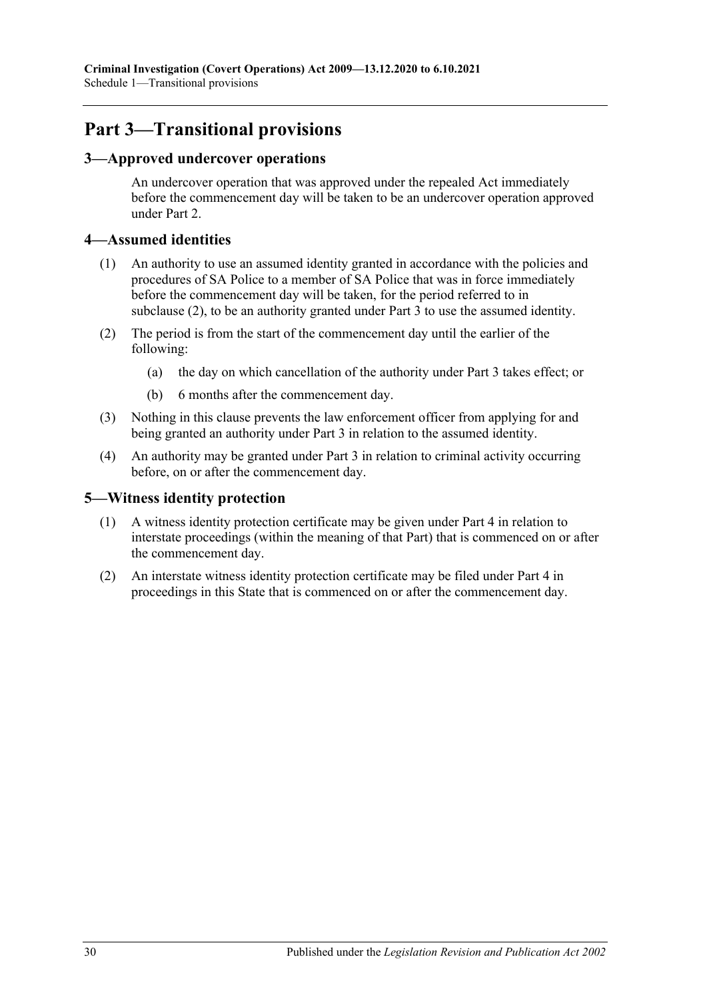## **Part 3—Transitional provisions**

### <span id="page-29-0"></span>**3—Approved undercover operations**

An undercover operation that was approved under the repealed Act immediately before the commencement day will be taken to be an undercover operation approved under [Part 2.](#page-6-0)

#### <span id="page-29-1"></span>**4—Assumed identities**

- (1) An authority to use an assumed identity granted in accordance with the policies and procedures of SA Police to a member of SA Police that was in force immediately before the commencement day will be taken, for the period referred to in [subclause](#page-29-3) (2), to be an authority granted under [Part 3](#page-8-1) to use the assumed identity.
- <span id="page-29-3"></span>(2) The period is from the start of the commencement day until the earlier of the following:
	- (a) the day on which cancellation of the authority under [Part 3](#page-8-1) takes effect; or
	- (b) 6 months after the commencement day.
- (3) Nothing in this clause prevents the law enforcement officer from applying for and being granted an authority under [Part 3](#page-8-1) in relation to the assumed identity.
- (4) An authority may be granted under [Part 3](#page-8-1) in relation to criminal activity occurring before, on or after the commencement day.

#### <span id="page-29-2"></span>**5—Witness identity protection**

- (1) A witness identity protection certificate may be given under [Part 4](#page-18-0) in relation to interstate proceedings (within the meaning of that Part) that is commenced on or after the commencement day.
- (2) An interstate witness identity protection certificate may be filed under [Part 4](#page-18-0) in proceedings in this State that is commenced on or after the commencement day.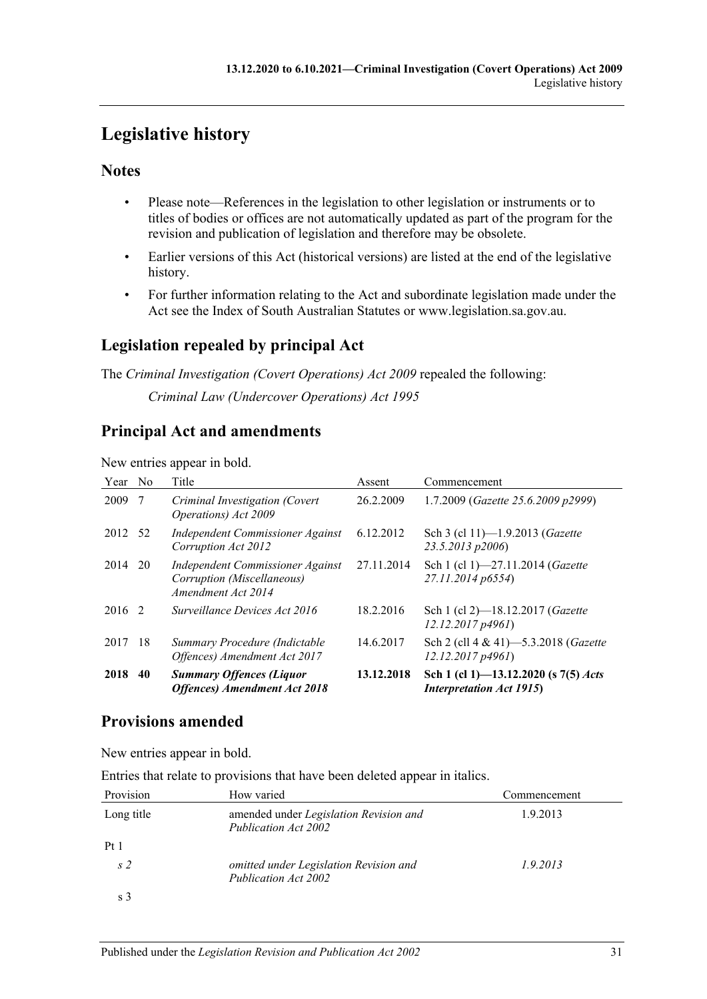# <span id="page-30-0"></span>**Legislative history**

## **Notes**

- Please note—References in the legislation to other legislation or instruments or to titles of bodies or offices are not automatically updated as part of the program for the revision and publication of legislation and therefore may be obsolete.
- Earlier versions of this Act (historical versions) are listed at the end of the legislative history.
- For further information relating to the Act and subordinate legislation made under the Act see the Index of South Australian Statutes or www.legislation.sa.gov.au.

## **Legislation repealed by principal Act**

The *Criminal Investigation (Covert Operations) Act 2009* repealed the following: *Criminal Law (Undercover Operations) Act 1995*

## **Principal Act and amendments**

#### New entries appear in bold.

| Year No |     | Title                                                                                | Assent     | Commencement                                                            |
|---------|-----|--------------------------------------------------------------------------------------|------------|-------------------------------------------------------------------------|
| 2009    | 7   | Criminal Investigation (Covert<br>Operations) Act 2009                               | 26.2.2009  | 1.7.2009 (Gazette 25.6.2009 p2999)                                      |
| 2012 52 |     | Independent Commissioner Against<br>Corruption Act 2012                              | 6.12.2012  | Sch 3 (cl 11)-1.9.2013 (Gazette<br>23.5.2013 p2006)                     |
| 2014    | 20  | Independent Commissioner Against<br>Corruption (Miscellaneous)<br>Amendment Act 2014 | 27.11.2014 | Sch 1 (cl 1)-27.11.2014 (Gazette<br>27.11.2014 p6554)                   |
| 2016 2  |     | Surveillance Devices Act 2016                                                        | 18.2.2016  | Sch 1 (cl 2)-18.12.2017 (Gazette<br>12.12.2017p4961                     |
| 2017    | -18 | Summary Procedure (Indictable<br>Offences) Amendment Act 2017                        | 14.6.2017  | Sch 2 (cll 4 & 41)-5.3.2018 (Gazette<br>12.12.2017p4961                 |
| 2018    | 40  | <b>Summary Offences (Liquor</b><br><b>Offences</b> ) Amendment Act 2018              | 13.12.2018 | Sch 1 (cl 1)-13.12.2020 (s 7(5) Acts<br><b>Interpretation Act 1915)</b> |

## **Provisions amended**

New entries appear in bold.

Entries that relate to provisions that have been deleted appear in italics.

| Provision      | How varied                                                     | Commencement |
|----------------|----------------------------------------------------------------|--------------|
| Long title     | amended under Legislation Revision and<br>Publication Act 2002 | 1.9.2013     |
| Pt1            |                                                                |              |
| s <sub>2</sub> | omitted under Legislation Revision and<br>Publication Act 2002 | 1.9.2013     |
| s 3            |                                                                |              |